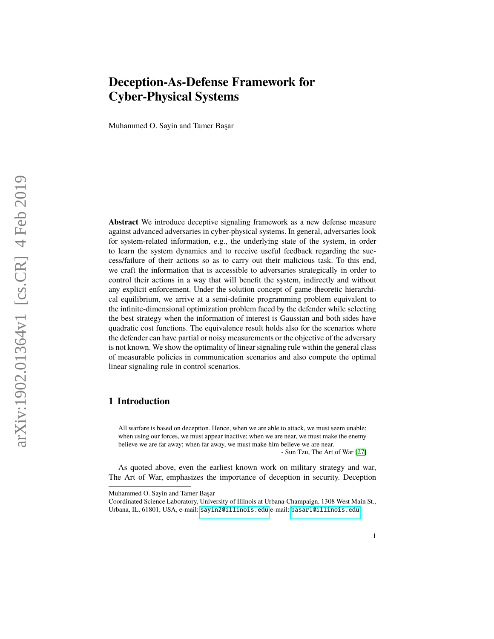Muhammed O. Sayin and Tamer Başar

**Abstract** We introduce deceptive signaling framework as a new defense measure against advanced adversaries in cyber-physical systems. In general, adversaries look for system-related information, e.g., the underlying state of the system, in order to learn the system dynamics and to receive useful feedback regarding the success/failure of their actions so as to carry out their malicious task. To this end, we craft the information that is accessible to adversaries strategically in order to control their actions in a way that will benefit the system, indirectly and without any explicit enforcement. Under the solution concept of game-theoretic hierarchical equilibrium, we arrive at a semi-definite programming problem equivalent to the infinite-dimensional optimization problem faced by the defender while selecting the best strategy when the information of interest is Gaussian and both sides have quadratic cost functions. The equivalence result holds also for the scenarios where the defender can have partial or noisy measurements or the objective of the adversary is not known. We show the optimality of linear signaling rule within the general class of measurable policies in communication scenarios and also compute the optimal linear signaling rule in control scenarios.

## **1 Introduction**

All warfare is based on deception. Hence, when we are able to attack, we must seem unable; when using our forces, we must appear inactive; when we are near, we must make the enemy believe we are far away; when far away, we must make him believe we are near.

- Sun Tzu, The Art of War [\[27\]](#page-30-0)

As quoted above, even the earliest known work on military strategy and war, The Art of War, emphasizes the importance of deception in security. Deception

Muhammed O. Sayin and Tamer Başar

Coordinated Science Laboratory, University of Illinois at Urbana-Champaign, 1308 West Main St., Urbana, IL, 61801, USA, e-mail: <sayin2@illinois.edu>,e-mail: <basar1@illinois.edu>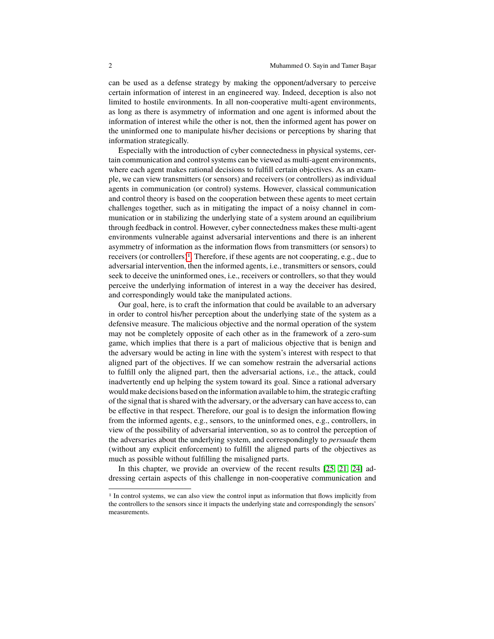can be used as a defense strategy by making the opponent/adversary to perceive certain information of interest in an engineered way. Indeed, deception is also not limited to hostile environments. In all non-cooperative multi-agent environments, as long as there is asymmetry of information and one agent is informed about the information of interest while the other is not, then the informed agent has power on the uninformed one to manipulate his/her decisions or perceptions by sharing that information strategically.

Especially with the introduction of cyber connectedness in physical systems, certain communication and control systems can be viewed as multi-agent environments, where each agent makes rational decisions to fulfill certain objectives. As an example, we can view transmitters (or sensors) and receivers (or controllers) as individual agents in communication (or control) systems. However, classical communication and control theory is based on the cooperation between these agents to meet certain challenges together, such as in mitigating the impact of a noisy channel in communication or in stabilizing the underlying state of a system around an equilibrium through feedback in control. However, cyber connectedness makes these multi-agent environments vulnerable against adversarial interventions and there is an inherent asymmetry of information as the information flows from transmitters (or sensors) to receivers (or controllers)[1](#page-1-0). Therefore, if these agents are not cooperating, e.g., due to adversarial intervention, then the informed agents, i.e., transmitters or sensors, could seek to deceive the uninformed ones, i.e., receivers or controllers, so that they would perceive the underlying information of interest in a way the deceiver has desired, and correspondingly would take the manipulated actions.

Our goal, here, is to craft the information that could be available to an adversary in order to control his/her perception about the underlying state of the system as a defensive measure. The malicious objective and the normal operation of the system may not be completely opposite of each other as in the framework of a zero-sum game, which implies that there is a part of malicious objective that is benign and the adversary would be acting in line with the system's interest with respect to that aligned part of the objectives. If we can somehow restrain the adversarial actions to fulfill only the aligned part, then the adversarial actions, i.e., the attack, could inadvertently end up helping the system toward its goal. Since a rational adversary would make decisions based on the information available to him, the strategic crafting of the signal that is shared with the adversary, or the adversary can have access to, can be effective in that respect. Therefore, our goal is to design the information flowing from the informed agents, e.g., sensors, to the uninformed ones, e.g., controllers, in view of the possibility of adversarial intervention, so as to control the perception of the adversaries about the underlying system, and correspondingly to *persuade* them (without any explicit enforcement) to fulfill the aligned parts of the objectives as much as possible without fulfilling the misaligned parts.

In this chapter, we provide an overview of the recent results [\[25,](#page-29-0) [21,](#page-29-1) [24\]](#page-29-2) addressing certain aspects of this challenge in non-cooperative communication and

<span id="page-1-0"></span><sup>&</sup>lt;sup>1</sup> In control systems, we can also view the control input as information that flows implicitly from the controllers to the sensors since it impacts the underlying state and correspondingly the sensors' measurements.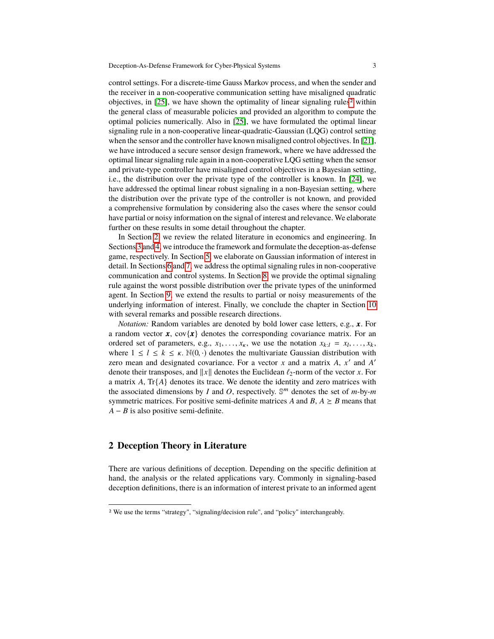control settings. For a discrete-time Gauss Markov process, and when the sender and the receiver in a non-cooperative communication setting have misaligned quadratic objectives, in  $[25]$ , we have shown the optimality of linear signaling rules<sup>[2](#page-2-0)</sup> within the general class of measurable policies and provided an algorithm to compute the optimal policies numerically. Also in [\[25\]](#page-29-0), we have formulated the optimal linear signaling rule in a non-cooperative linear-quadratic-Gaussian (LQG) control setting when the sensor and the controller have known misaligned control objectives. In [\[21\]](#page-29-1), we have introduced a secure sensor design framework, where we have addressed the optimal linear signaling rule again in a non-cooperative LQG setting when the sensor and private-type controller have misaligned control objectives in a Bayesian setting, i.e., the distribution over the private type of the controller is known. In [\[24\]](#page-29-2), we have addressed the optimal linear robust signaling in a non-Bayesian setting, where the distribution over the private type of the controller is not known, and provided a comprehensive formulation by considering also the cases where the sensor could have partial or noisy information on the signal of interest and relevance. We elaborate further on these results in some detail throughout the chapter.

In Section [2,](#page-2-1) we review the related literature in economics and engineering. In Sections [3](#page-5-0) and [4,](#page-7-0) we introduce the framework and formulate the deception-as-defense game, respectively. In Section [5,](#page-10-0) we elaborate on Gaussian information of interest in detail. In Sections [6](#page-17-0) and [7,](#page-20-0) we address the optimal signaling rules in non-cooperative communication and control systems. In Section [8,](#page-23-0) we provide the optimal signaling rule against the worst possible distribution over the private types of the uninformed agent. In Section [9,](#page-25-0) we extend the results to partial or noisy measurements of the underlying information of interest. Finally, we conclude the chapter in Section [10](#page-27-0) with several remarks and possible research directions.

*Notation:* Random variables are denoted by bold lower case letters, e.g., *x*. For a random vector  $x$ ,  $cov\{x\}$  denotes the corresponding covariance matrix. For an ordered set of parameters, e.g.,  $x_1, \ldots, x_k$ , we use the notation  $x_{k:l} = x_l, \ldots, x_k$ , where  $1 \leq l \leq k \leq \kappa$   $\mathbb{N}(0, \cdot)$  denotes the multivariate Gaussian distribution with where  $1 \leq l \leq k \leq \kappa$ .  $\mathbb{N}(0, \cdot)$  denotes the multivariate Gaussian distribution with zero mean and designated covariance. For a vector  $x$  and a matrix  $A$ ,  $x'$  and  $A'$ denote their transposes, and  $||x||$  denotes the Euclidean  $\ell_2$ -norm of the vector *x*. For a matrix *A*, Tr{*A*} denotes its trace. We denote the identity and zero matrices with the associated dimensions by *I* and *O*, respectively.  $\mathbb{S}^m$  denotes the set of *m*-by-*m* symmetric matrices. For positive semi-definite matrices *A* and *B*,  $A \geq B$  means that *A* − *B* is also positive semi-definite.

## <span id="page-2-1"></span>**2 Deception Theory in Literature**

There are various definitions of deception. Depending on the specific definition at hand, the analysis or the related applications vary. Commonly in signaling-based deception definitions, there is an information of interest private to an informed agent

<span id="page-2-0"></span><sup>2</sup> We use the terms "strategy", "signaling/decision rule", and "policy" interchangeably.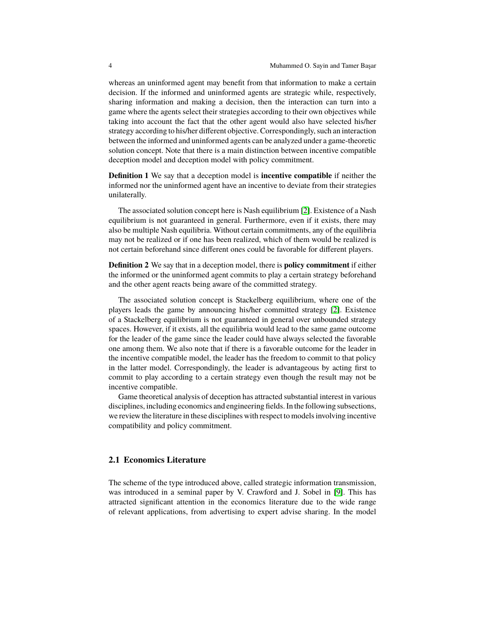whereas an uninformed agent may benefit from that information to make a certain decision. If the informed and uninformed agents are strategic while, respectively, sharing information and making a decision, then the interaction can turn into a game where the agents select their strategies according to their own objectives while taking into account the fact that the other agent would also have selected his/her strategy according to his/her different objective. Correspondingly, such an interaction between the informed and uninformed agents can be analyzed under a game-theoretic solution concept. Note that there is a main distinction between incentive compatible deception model and deception model with policy commitment.

**Definition 1** We say that a deception model is **incentive compatible** if neither the informed nor the uninformed agent have an incentive to deviate from their strategies unilaterally.

The associated solution concept here is Nash equilibrium [\[2\]](#page-28-0). Existence of a Nash equilibrium is not guaranteed in general. Furthermore, even if it exists, there may also be multiple Nash equilibria. Without certain commitments, any of the equilibria may not be realized or if one has been realized, which of them would be realized is not certain beforehand since different ones could be favorable for different players.

**Definition 2** We say that in a deception model, there is **policy commitment** if either the informed or the uninformed agent commits to play a certain strategy beforehand and the other agent reacts being aware of the committed strategy.

The associated solution concept is Stackelberg equilibrium, where one of the players leads the game by announcing his/her committed strategy [\[2\]](#page-28-0). Existence of a Stackelberg equilibrium is not guaranteed in general over unbounded strategy spaces. However, if it exists, all the equilibria would lead to the same game outcome for the leader of the game since the leader could have always selected the favorable one among them. We also note that if there is a favorable outcome for the leader in the incentive compatible model, the leader has the freedom to commit to that policy in the latter model. Correspondingly, the leader is advantageous by acting first to commit to play according to a certain strategy even though the result may not be incentive compatible.

Game theoretical analysis of deception has attracted substantial interest in various disciplines, including economics and engineering fields. In the following subsections, we review the literature in these disciplines with respect to models involving incentive compatibility and policy commitment.

### **2.1 Economics Literature**

The scheme of the type introduced above, called strategic information transmission, was introduced in a seminal paper by V. Crawford and J. Sobel in [\[9\]](#page-29-3). This has attracted significant attention in the economics literature due to the wide range of relevant applications, from advertising to expert advise sharing. In the model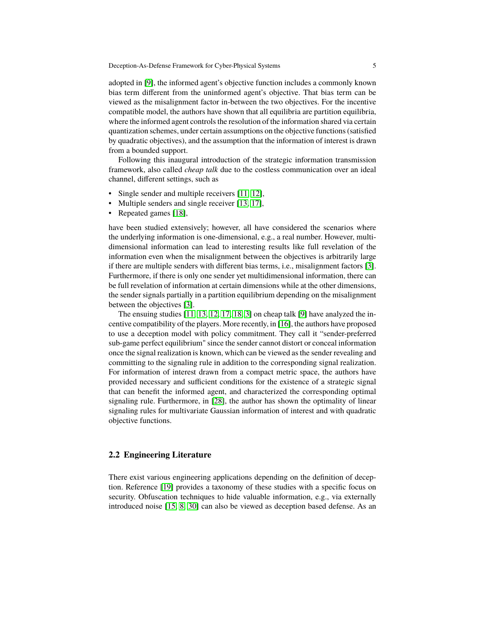adopted in [\[9\]](#page-29-3), the informed agent's objective function includes a commonly known bias term different from the uninformed agent's objective. That bias term can be viewed as the misalignment factor in-between the two objectives. For the incentive compatible model, the authors have shown that all equilibria are partition equilibria, where the informed agent controls the resolution of the information shared via certain quantization schemes, under certain assumptions on the objective functions (satisfied by quadratic objectives), and the assumption that the information of interest is drawn from a bounded support.

Following this inaugural introduction of the strategic information transmission framework, also called *cheap talk* due to the costless communication over an ideal channel, different settings, such as

- Single sender and multiple receivers [\[11,](#page-29-4) [12\]](#page-29-5),
- Multiple senders and single receiver [\[13,](#page-29-6) [17\]](#page-29-7),
- Repeated games [\[18\]](#page-29-8),

have been studied extensively; however, all have considered the scenarios where the underlying information is one-dimensional, e.g., a real number. However, multidimensional information can lead to interesting results like full revelation of the information even when the misalignment between the objectives is arbitrarily large if there are multiple senders with different bias terms, i.e., misalignment factors [\[3\]](#page-28-1). Furthermore, if there is only one sender yet multidimensional information, there can be full revelation of information at certain dimensions while at the other dimensions, the sender signals partially in a partition equilibrium depending on the misalignment between the objectives [\[3\]](#page-28-1).

The ensuing studies [\[11,](#page-29-4) [13,](#page-29-6) [12,](#page-29-5) [17,](#page-29-7) [18,](#page-29-8) [3\]](#page-28-1) on cheap talk [\[9\]](#page-29-3) have analyzed the incentive compatibility of the players. More recently, in [\[16\]](#page-29-9), the authors have proposed to use a deception model with policy commitment. They call it "sender-preferred sub-game perfect equilibrium" since the sender cannot distort or conceal information once the signal realization is known, which can be viewed as the sender revealing and committing to the signaling rule in addition to the corresponding signal realization. For information of interest drawn from a compact metric space, the authors have provided necessary and sufficient conditions for the existence of a strategic signal that can benefit the informed agent, and characterized the corresponding optimal signaling rule. Furthermore, in [\[28\]](#page-30-1), the author has shown the optimality of linear signaling rules for multivariate Gaussian information of interest and with quadratic objective functions.

### **2.2 Engineering Literature**

There exist various engineering applications depending on the definition of deception. Reference [\[19\]](#page-29-10) provides a taxonomy of these studies with a specific focus on security. Obfuscation techniques to hide valuable information, e.g., via externally introduced noise [\[15,](#page-29-11) [8,](#page-29-12) [30\]](#page-30-2) can also be viewed as deception based defense. As an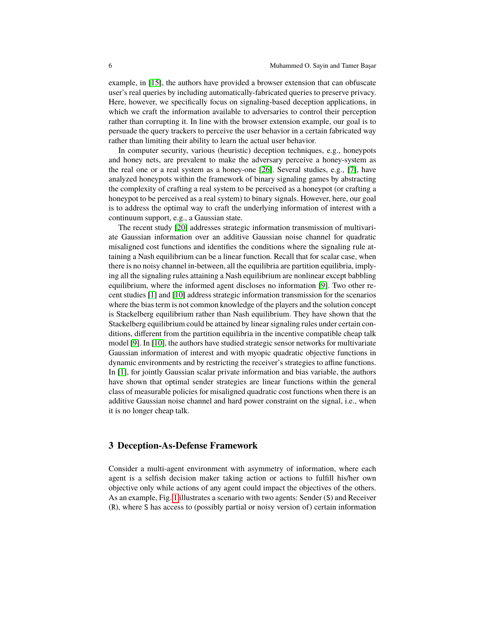example, in [\[15\]](#page-29-11), the authors have provided a browser extension that can obfuscate user's real queries by including automatically-fabricated queries to preserve privacy. Here, however, we specifically focus on signaling-based deception applications, in which we craft the information available to adversaries to control their perception rather than corrupting it. In line with the browser extension example, our goal is to persuade the query trackers to perceive the user behavior in a certain fabricated way rather than limiting their ability to learn the actual user behavior.

In computer security, various (heuristic) deception techniques, e.g., honeypots and honey nets, are prevalent to make the adversary perceive a honey-system as the real one or a real system as a honey-one [\[26\]](#page-30-3). Several studies, e.g., [\[7\]](#page-29-13), have analyzed honeypots within the framework of binary signaling games by abstracting the complexity of crafting a real system to be perceived as a honeypot (or crafting a honeypot to be perceived as a real system) to binary signals. However, here, our goal is to address the optimal way to craft the underlying information of interest with a continuum support, e.g., a Gaussian state.

The recent study [\[20\]](#page-29-14) addresses strategic information transmission of multivariate Gaussian information over an additive Gaussian noise channel for quadratic misaligned cost functions and identifies the conditions where the signaling rule attaining a Nash equilibrium can be a linear function. Recall that for scalar case, when there is no noisy channel in-between, all the equilibria are partition equilibria, implying all the signaling rules attaining a Nash equilibrium are nonlinear except babbling equilibrium, where the informed agent discloses no information [\[9\]](#page-29-3). Two other recent studies [\[1\]](#page-28-2) and [\[10\]](#page-29-15) address strategic information transmission for the scenarios where the bias term is not common knowledge of the players and the solution concept is Stackelberg equilibrium rather than Nash equilibrium. They have shown that the Stackelberg equilibrium could be attained by linear signaling rules under certain conditions, different from the partition equilibria in the incentive compatible cheap talk model [\[9\]](#page-29-3). In [\[10\]](#page-29-15), the authors have studied strategic sensor networks for multivariate Gaussian information of interest and with myopic quadratic objective functions in dynamic environments and by restricting the receiver's strategies to affine functions. In [\[1\]](#page-28-2), for jointly Gaussian scalar private information and bias variable, the authors have shown that optimal sender strategies are linear functions within the general class of measurable policies for misaligned quadratic cost functions when there is an additive Gaussian noise channel and hard power constraint on the signal, i.e., when it is no longer cheap talk.

## <span id="page-5-0"></span>**3 Deception-As-Defense Framework**

Consider a multi-agent environment with asymmetry of information, where each agent is a selfish decision maker taking action or actions to fulfill his/her own objective only while actions of any agent could impact the objectives of the others. As an example, Fig. [1](#page-6-0) illustrates a scenario with two agents: Sender (S) and Receiver (R), where S has access to (possibly partial or noisy version of) certain information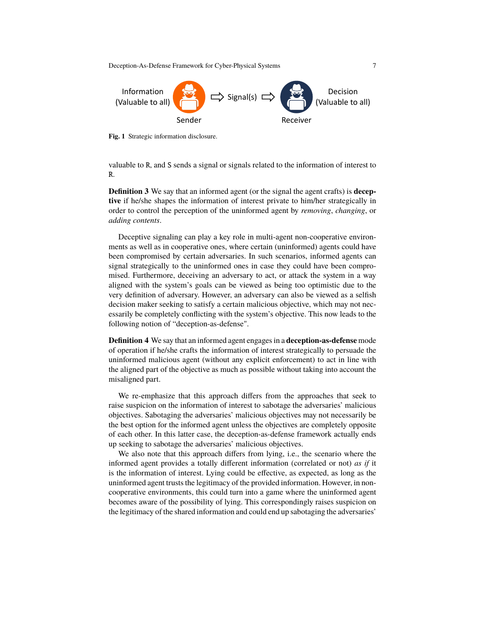

<span id="page-6-0"></span>**Fig. 1** Strategic information disclosure.

valuable to R, and S sends a signal or signals related to the information of interest to R.

**Definition 3** We say that an informed agent (or the signal the agent crafts) is **deceptive** if he/she shapes the information of interest private to him/her strategically in order to control the perception of the uninformed agent by *removing*, *changing*, or *adding contents*.

Deceptive signaling can play a key role in multi-agent non-cooperative environments as well as in cooperative ones, where certain (uninformed) agents could have been compromised by certain adversaries. In such scenarios, informed agents can signal strategically to the uninformed ones in case they could have been compromised. Furthermore, deceiving an adversary to act, or attack the system in a way aligned with the system's goals can be viewed as being too optimistic due to the very definition of adversary. However, an adversary can also be viewed as a selfish decision maker seeking to satisfy a certain malicious objective, which may not necessarily be completely conflicting with the system's objective. This now leads to the following notion of "deception-as-defense".

**Definition 4** We say that an informed agent engages in a **deception-as-defense** mode of operation if he/she crafts the information of interest strategically to persuade the uninformed malicious agent (without any explicit enforcement) to act in line with the aligned part of the objective as much as possible without taking into account the misaligned part.

We re-emphasize that this approach differs from the approaches that seek to raise suspicion on the information of interest to sabotage the adversaries' malicious objectives. Sabotaging the adversaries' malicious objectives may not necessarily be the best option for the informed agent unless the objectives are completely opposite of each other. In this latter case, the deception-as-defense framework actually ends up seeking to sabotage the adversaries' malicious objectives.

We also note that this approach differs from lying, i.e., the scenario where the informed agent provides a totally different information (correlated or not) *as if* it is the information of interest. Lying could be effective, as expected, as long as the uninformed agent trusts the legitimacy of the provided information. However, in noncooperative environments, this could turn into a game where the uninformed agent becomes aware of the possibility of lying. This correspondingly raises suspicion on the legitimacy of the shared information and could end up sabotaging the adversaries'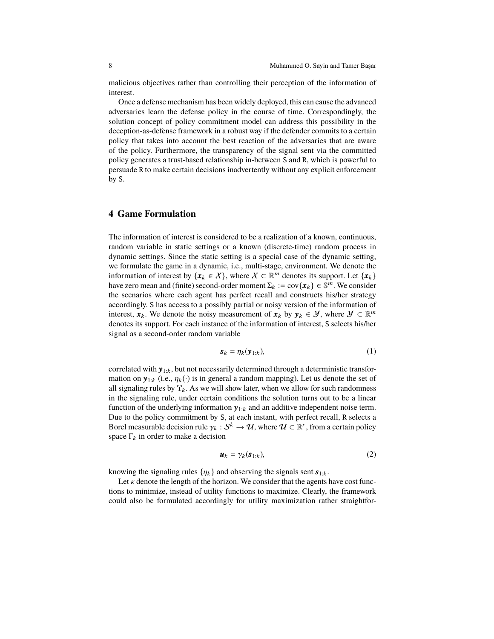malicious objectives rather than controlling their perception of the information of interest.

Once a defense mechanism has been widely deployed, this can cause the advanced adversaries learn the defense policy in the course of time. Correspondingly, the solution concept of policy commitment model can address this possibility in the deception-as-defense framework in a robust way if the defender commits to a certain policy that takes into account the best reaction of the adversaries that are aware of the policy. Furthermore, the transparency of the signal sent via the committed policy generates a trust-based relationship in-between S and R, which is powerful to persuade R to make certain decisions inadvertently without any explicit enforcement by S.

## <span id="page-7-0"></span>**4 Game Formulation**

The information of interest is considered to be a realization of a known, continuous, random variable in static settings or a known (discrete-time) random process in dynamic settings. Since the static setting is a special case of the dynamic setting, we formulate the game in a dynamic, i.e., multi-stage, environment. We denote the information of interest by  $\{x_k \in X\}$ , where  $X \subset \mathbb{R}^m$  denotes its support. Let  $\{x_k\}$ have zero mean and (finite) second-order moment  $\Sigma_k := \text{cov}\{\pmb{x}_k\} \in \mathbb{S}^m$ . We consider the scenarios where each agent has perfect recall and constructs his/her strategy accordingly. S has access to a possibly partial or noisy version of the information of interest,  $\mathbf{x}_k$ . We denote the noisy measurement of  $\mathbf{x}_k$  by  $\mathbf{y}_k \in \mathcal{Y}$ , where  $\mathcal{Y} \subset \mathbb{R}^m$ denotes its support. For each instance of the information of interest, S selects his/her signal as a second-order random variable

$$
\mathbf{s}_k = \eta_k(\mathbf{y}_{1:k}),\tag{1}
$$

correlated with  $y_{1:k}$ , but not necessarily determined through a deterministic transformation on  $\mathbf{y}_{1:k}$  (i.e.,  $\eta_k(\cdot)$  is in general a random mapping). Let us denote the set of all signaling rules by  $\Upsilon_k$ . As we will show later, when we allow for such randomness in the signaling rule, under certain conditions the solution turns out to be a linear function of the underlying information  $y_{1:k}$  and an additive independent noise term. Due to the policy commitment by S, at each instant, with perfect recall, R selects a Borel measurable decision rule  $\gamma_k : S^k \to \mathcal{U}$ , where  $\mathcal{U} \subset \mathbb{R}^r$ , from a certain policy space  $\Gamma_k$  in order to make a decision

$$
\mathbf{u}_k = \gamma_k(\mathbf{s}_{1:k}),\tag{2}
$$

knowing the signaling rules  $\{\eta_k\}$  and observing the signals sent  $s_{1:k}$ .

Let  $\kappa$  denote the length of the horizon. We consider that the agents have cost functions to minimize, instead of utility functions to maximize. Clearly, the framework could also be formulated accordingly for utility maximization rather straightfor-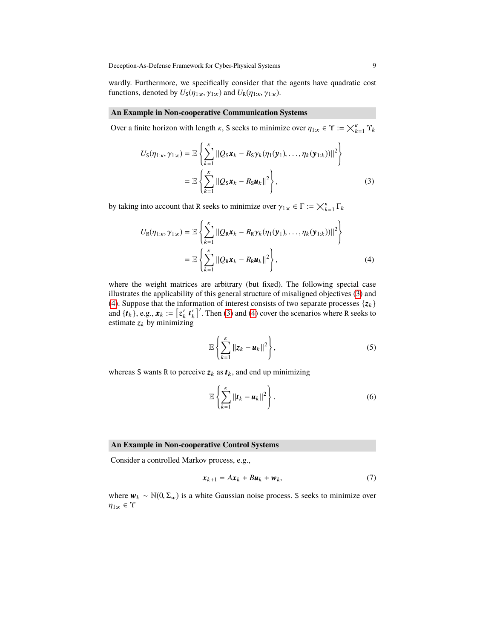wardly. Furthermore, we specifically consider that the agents have quadratic cost functions, denoted by  $U_S(\eta_{1:\kappa}, \gamma_{1:\kappa})$  and  $U_R(\eta_{1:\kappa}, \gamma_{1:\kappa})$ .

#### **An Example in Non-cooperative Communication Systems**

Over a finite horizon with length  $\kappa$ , S seeks to minimize over  $\eta_{1:\kappa} \in \Upsilon :=$  $_{k=1}^{\kappa}$   $\Upsilon_k$ 

<span id="page-8-0"></span>
$$
U_{\mathsf{S}}(\eta_{1:\kappa}, \gamma_{1:\kappa}) = \mathbb{E}\left\{\sum_{k=1}^{\kappa} \|Q_{\mathsf{S}}\mathbf{x}_k - R_{\mathsf{S}}\gamma_k(\eta_1(\mathbf{y}_1), \dots, \eta_k(\mathbf{y}_{1:\kappa}))\|^2\right\}
$$
  
= 
$$
\mathbb{E}\left\{\sum_{k=1}^{\kappa} \|Q_{\mathsf{S}}\mathbf{x}_k - R_{\mathsf{S}}\mathbf{u}_k\|^2\right\},
$$
 (3)

by taking into account that R seeks to minimize over  $\gamma_{1:\kappa} \in \Gamma :=$ κ k=1 Γk

<span id="page-8-1"></span>
$$
U_{\mathcal{R}}(\eta_{1:\kappa}, \gamma_{1:\kappa}) = \mathbb{E}\left\{\sum_{k=1}^{\kappa} ||Q_{\mathcal{R}}\boldsymbol{x}_k - R_{\mathcal{R}}\gamma_k(\eta_1(\boldsymbol{y}_1), \dots, \eta_k(\boldsymbol{y}_{1:\kappa}))||^2\right\}
$$
  
= 
$$
\mathbb{E}\left\{\sum_{k=1}^{\kappa} ||Q_{\mathcal{R}}\boldsymbol{x}_k - R_{\mathcal{R}}\boldsymbol{u}_k||^2\right\},
$$
 (4)

where the weight matrices are arbitrary (but fixed). The following special case illustrates the applicability of this general structure of misaligned objectives [\(3\)](#page-8-0) and [\(4\)](#page-8-1). Suppose that the information of interest consists of two separate processes  $\{z_k\}$ and  $\{t_k\}$ , e.g.,  $\mathbf{x}_k := [z'_k \, t'_k]'$ . Then [\(3\)](#page-8-0) and [\(4\)](#page-8-1) cover the scenarios where R seeks to estimate  $z_k$  by minimizing

$$
\mathbb{E}\left\{\sum_{k=1}^{K}||z_k - u_k||^2\right\},\tag{5}
$$

whereas S wants R to perceive  $z_k$  as  $t_k$ , and end up minimizing

$$
\mathbb{E}\left\{\sum_{k=1}^{\kappa}\|\boldsymbol{t}_k-\boldsymbol{u}_k\|^2\right\}.
$$
 (6)

#### **An Example in Non-cooperative Control Systems**

Consider a controlled Markov process, e.g.,

<span id="page-8-2"></span>
$$
\boldsymbol{x}_{k+1} = A\boldsymbol{x}_k + B\boldsymbol{u}_k + \boldsymbol{w}_k,\tag{7}
$$

where  $w_k \sim \mathbb{N}(0, \Sigma_w)$  is a white Gaussian noise process. S seeks to minimize over  $\eta_{1:\kappa}\in\Upsilon$ 

>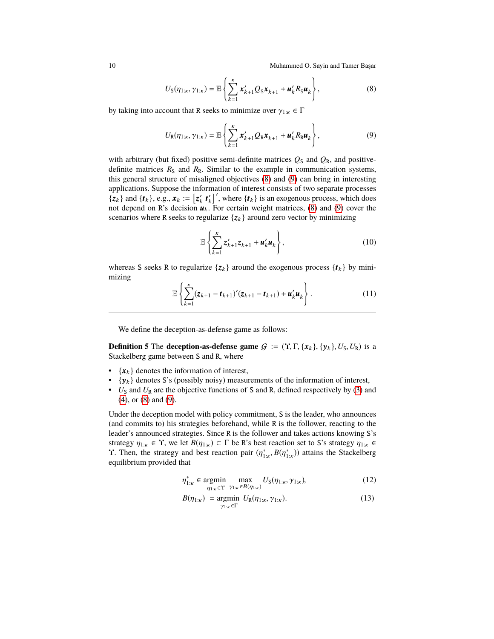<span id="page-9-0"></span>
$$
U_{\rm S}(\eta_{1:\kappa},\gamma_{1:\kappa}) = \mathbb{E}\left\{\sum_{k=1}^{\kappa} x'_{k+1} Q_{\rm S} x_{k+1} + u'_{k} R_{\rm S} u_{k}\right\},\tag{8}
$$

by taking into account that R seeks to minimize over  $\gamma_{1:\kappa} \in \Gamma$ 

<span id="page-9-1"></span>
$$
U_{\mathbf{R}}(\eta_{1:\kappa},\gamma_{1:\kappa})=\mathbb{E}\left\{\sum_{k=1}^{\kappa}\mathbf{x}_{k+1}^{\prime}Q_{\mathbf{R}}\mathbf{x}_{k+1}+\mathbf{u}_{k}^{\prime}R_{\mathbf{R}}\mathbf{u}_{k}\right\},\qquad(9)
$$

with arbitrary (but fixed) positive semi-definite matrices  $Q_S$  and  $Q_R$ , and positivedefinite matrices  $R<sub>S</sub>$  and  $R<sub>R</sub>$ . Similar to the example in communication systems, this general structure of misaligned objectives [\(8\)](#page-9-0) and [\(9\)](#page-9-1) can bring in interesting applications. Suppose the information of interest consists of two separate processes  $\{z_k\}$  and  $\{t_k\}$ , e.g.,  $x_k := [z'_k \ t'_k]'$ , where  $\{t_k\}$  is an exogenous process, which does not depend on R's decision  $u_k$ . For certain weight matrices, [\(8\)](#page-9-0) and [\(9\)](#page-9-1) cover the scenarios where R seeks to regularize  $\{z_k\}$  around zero vector by minimizing

$$
\mathbb{E}\left\{\sum_{k=1}^{\kappa} z'_{k+1} z_{k+1} + \mathbf{u}'_k \mathbf{u}_k\right\},\tag{10}
$$

whereas S seeks R to regularize  $\{z_k\}$  around the exogenous process  $\{t_k\}$  by minimizing

$$
\mathbb{E}\left\{\sum_{k=1}^{\kappa}(z_{k+1}-t_{k+1})'(z_{k+1}-t_{k+1})+u'_{k}u_{k}\right\}.
$$
\n(11)

We define the deception-as-defense game as follows:

**Definition 5** The **deception-as-defense game**  $G := (\Upsilon, \Gamma, \{x_k\}, \{y_k\}, U_S, U_R)$  is a Stackelberg game between S and R, where

- $\{x_k\}$  denotes the information of interest,
- $\{y_k\}$  denotes S's (possibly noisy) measurements of the information of interest,
- $U_S$  and  $U_R$  are the objective functions of S and R, defined respectively by [\(3\)](#page-8-0) and [\(4\)](#page-8-1), or [\(8\)](#page-9-0) and [\(9\)](#page-9-1).

Under the deception model with policy commitment, S is the leader, who announces (and commits to) his strategies beforehand, while R is the follower, reacting to the leader's announced strategies. Since R is the follower and takes actions knowing S's strategy  $\eta_{1:\kappa} \in \Upsilon$ , we let  $B(\eta_{1:\kappa}) \subset \Gamma$  be R's best reaction set to S's strategy  $\eta_{1:\kappa} \in$ **T**. Then, the strategy and best reaction pair  $(η<sub>1:k</sub><sup>*</sup>, B(η<sub>1:k</sub><sup>*</sup>))$  attains the Stackelberg equilibrium provided that equilibrium provided that

$$
\eta_{1:\kappa}^* \in \underset{\eta_{1:\kappa} \in \Upsilon}{\text{argmin}} \quad \underset{\gamma_{1:\kappa} \in B(\eta_{1:\kappa})}{\text{max}} U_S(\eta_{1:\kappa}, \gamma_{1:\kappa}), \tag{12}
$$

$$
B(\eta_{1:\kappa}) = \underset{\gamma_{1:\kappa} \in \Gamma}{\text{argmin}} \ U_{\mathsf{R}}(\eta_{1:\kappa}, \gamma_{1:\kappa}). \tag{13}
$$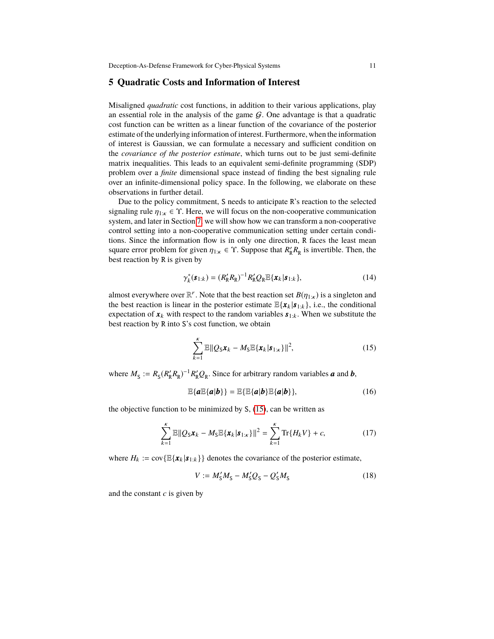## <span id="page-10-0"></span>**5 Quadratic Costs and Information of Interest**

Misaligned *quadratic* cost functions, in addition to their various applications, play an essential role in the analysis of the game  $G$ . One advantage is that a quadratic cost function can be written as a linear function of the covariance of the posterior estimate of the underlying information of interest. Furthermore, when the information of interest is Gaussian, we can formulate a necessary and sufficient condition on the *covariance of the posterior estimate*, which turns out to be just semi-definite matrix inequalities. This leads to an equivalent semi-definite programming (SDP) problem over a *finite* dimensional space instead of finding the best signaling rule over an infinite-dimensional policy space. In the following, we elaborate on these observations in further detail.

Due to the policy commitment, S needs to anticipate R's reaction to the selected signaling rule  $\eta_{1:\kappa} \in \Upsilon$ . Here, we will focus on the non-cooperative communication system, and later in Section [7,](#page-20-0) we will show how we can transform a non-cooperative control setting into a non-cooperative communication setting under certain conditions. Since the information flow is in only one direction, R faces the least mean square error problem for given  $\eta_{1:k} \in \Upsilon$ . Suppose that  $R'_R R_R$  is invertible. Then, the hest reaction by **R** is given by best reaction by R is given by

$$
\gamma_k^*(s_{1:k}) = (R'_R R_R)^{-1} R'_R Q_R \mathbb{E}\{x_k | s_{1:k}\},\tag{14}
$$

almost everywhere over  $\mathbb{R}^r$ . Note that the best reaction set  $B(\eta_{1:k})$  is a singleton and the best reaction is linear in the posterior estimate  $\mathbb{E}\{x_i | \mathbf{s}_i \}$ , i.e., the conditional the best reaction is linear in the posterior estimate  $\mathbb{E}\{\boldsymbol{x}_k | \boldsymbol{s}_{1:k}\}\)$ , i.e., the conditional expectation of  $x_k$  with respect to the random variables  $s_{1:k}$ . When we substitute the best reaction by R into S's cost function, we obtain

<span id="page-10-1"></span>
$$
\sum_{k=1}^{k} \mathbb{E} ||Q_{\mathbf{S}} \mathbf{x}_k - M_{\mathbf{S}} \mathbb{E} \{ \mathbf{x}_k | \mathbf{s}_{1:k} \} ||^2, \tag{15}
$$

where  $M_S := R_S (R'_R R_R)^{-1} R'_R Q_R$ . Since for arbitrary random variables *a* and *b*,

<span id="page-10-2"></span>
$$
\mathbb{E}\{a\mathbb{E}\{a|b\}\} = \mathbb{E}\{\mathbb{E}\{a|b\}\mathbb{E}\{a|b\}\},\tag{16}
$$

the objective function to be minimized by S, [\(15\)](#page-10-1), can be written as

$$
\sum_{k=1}^{K} \mathbb{E} ||Q_{S} \mathbf{x}_{k} - M_{S} \mathbb{E} \{ \mathbf{x}_{k} | \mathbf{s}_{1:k} \} ||^{2} = \sum_{k=1}^{K} \text{Tr} \{ H_{k} V \} + c,
$$
 (17)

where  $H_k := \text{cov}\{\mathbb{E}\{\mathbf{x}_k | \mathbf{s}_{1:k}\}\}\$  denotes the covariance of the posterior estimate,

$$
V := M'_{\rm S}M_{\rm S} - M'_{\rm S}Q_{\rm S} - Q'_{\rm S}M_{\rm S}
$$
 (18)

and the constant *c* is given by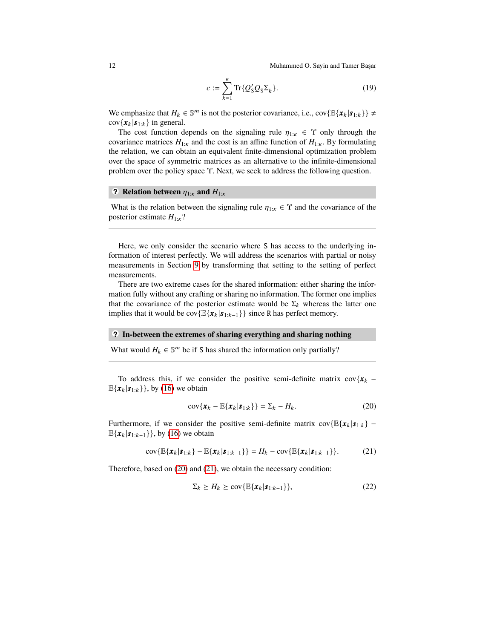$$
c := \sum_{k=1}^{k} \text{Tr}\{Q_{\mathcal{S}}'Q_{\mathcal{S}}\Sigma_{k}\}.
$$
 (19)

We emphasize that  $H_k \in \mathbb{S}^m$  is not the posterior covariance, i.e., cov $\{\mathbb{E}\{\mathbf{x}_k | \mathbf{s}_{1:k}\}\}\neq$  $cov{x_k|\boldsymbol{s}_{1:k}}$  in general.

The cost function depends on the signaling rule  $\eta_{1:\kappa} \in \Upsilon$  only through the covariance matrices  $H_{1:\kappa}$  and the cost is an affine function of  $H_{1:\kappa}$ . By formulating the relation, we can obtain an equivalent finite-dimensional optimization problem over the space of symmetric matrices as an alternative to the infinite-dimensional problem over the policy space Υ. Next, we seek to address the following question.

# **? Relation between**  $\eta_{1:\kappa}$  **and**  $H_{1:\kappa}$

What is the relation between the signaling rule  $\eta_{1:\kappa} \in \Upsilon$  and the covariance of the posterior estimate  $H_{1:\kappa}$ ?

Here, we only consider the scenario where S has access to the underlying information of interest perfectly. We will address the scenarios with partial or noisy measurements in Section [9](#page-25-0) by transforming that setting to the setting of perfect measurements.

There are two extreme cases for the shared information: either sharing the information fully without any crafting or sharing no information. The former one implies that the covariance of the posterior estimate would be  $\Sigma_k$  whereas the latter one implies that it would be cov $\{\mathbb{E}\{x_k | s_{1:k-1}\}\}\$  since R has perfect memory.

## **• ? In-between the extremes of sharing everything and sharing nothing**

What would  $H_k \in \mathbb{S}^m$  be if S has shared the information only partially?

To address this, if we consider the positive semi-definite matrix  $cov{x_k \mathbb{E}\{\mathbf{x}_k|\mathbf{s}_{1:k}\}\}$ , by [\(16\)](#page-10-2) we obtain

<span id="page-11-0"></span>
$$
cov\{\boldsymbol{x}_k - \mathbb{E}\{\boldsymbol{x}_k | \boldsymbol{s}_{1:k}\}\} = \Sigma_k - H_k.
$$
 (20)

Furthermore, if we consider the positive semi-definite matrix  $cov\{\mathbb{E}\{\boldsymbol{x}_k | \boldsymbol{s}_{1:k}\}$  –  $\mathbb{E}\{\mathbf{x}_k|\mathbf{s}_{1:k-1}\}\}$ , by [\(16\)](#page-10-2) we obtain

<span id="page-11-1"></span>
$$
cov\{\mathbb{E}\{\bm{x}_{k}|\bm{s}_{1:k}\}-\mathbb{E}\{\bm{x}_{k}|\bm{s}_{1:k-1}\}\} = H_{k} - cov\{\mathbb{E}\{\bm{x}_{k}|\bm{s}_{1:k-1}\}\}.
$$
 (21)

Therefore, based on [\(20\)](#page-11-0) and [\(21\)](#page-11-1), we obtain the necessary condition:

<span id="page-11-2"></span>
$$
\Sigma_k \ge H_k \ge \text{cov}\{\mathbb{E}\{\boldsymbol{x}_k|\boldsymbol{s}_{1:k-1}\}\},\tag{22}
$$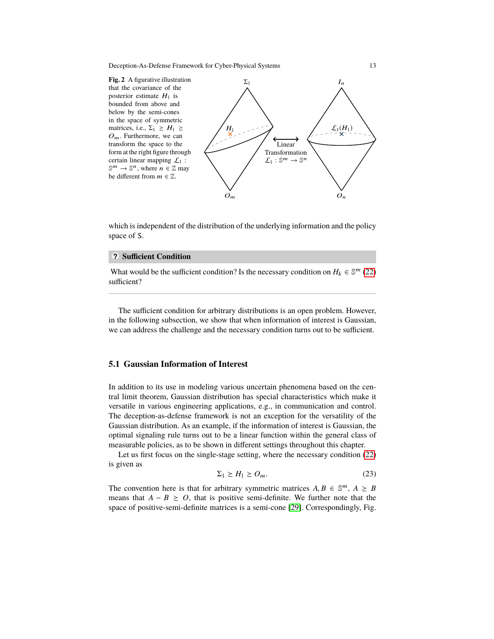<span id="page-12-0"></span>**Fig. 2** A figurative illustration that the covariance of the posterior estimate  $H_1$  is bounded from above and below by the semi-cones in the space of symmetric matrices, i.e.,  $\Sigma_1 \geq H_1 \geq$  $O_m$ . Furthermore, we can transform the space to the form at the right figure through certain linear mapping  $\mathcal{L}_1$ :  $\mathbb{S}^m \to \mathbb{S}^n$ , where  $n \in \mathbb{Z}$  may be different from  $m \in \mathbb{Z}$ .



which is independent of the distribution of the underlying information and the policy space of S.

## **• ? Sufficient Condition**

What would be the sufficient condition? Is the necessary condition on  $H_k \in \mathbb{S}^m$  [\(22\)](#page-11-2) sufficient?

The sufficient condition for arbitrary distributions is an open problem. However, in the following subsection, we show that when information of interest is Gaussian, we can address the challenge and the necessary condition turns out to be sufficient.

## **5.1 Gaussian Information of Interest**

In addition to its use in modeling various uncertain phenomena based on the central limit theorem, Gaussian distribution has special characteristics which make it versatile in various engineering applications, e.g., in communication and control. The deception-as-defense framework is not an exception for the versatility of the Gaussian distribution. As an example, if the information of interest is Gaussian, the optimal signaling rule turns out to be a linear function within the general class of measurable policies, as to be shown in different settings throughout this chapter.

Let us first focus on the single-stage setting, where the necessary condition [\(22\)](#page-11-2) is given as

<span id="page-12-1"></span>
$$
\Sigma_1 \ge H_1 \ge O_m. \tag{23}
$$

The convention here is that for arbitrary symmetric matrices  $A, B \in \mathbb{S}^m$ ,  $A \geq B$ <br>means that  $A - B \geq O$ , that is positive semi-definite. We further note that the means that  $A - B \geq O$ , that is positive semi-definite. We further note that the space of positive-semi-definite matrices is a semi-cone [\[29\]](#page-30-4). Correspondingly, Fig.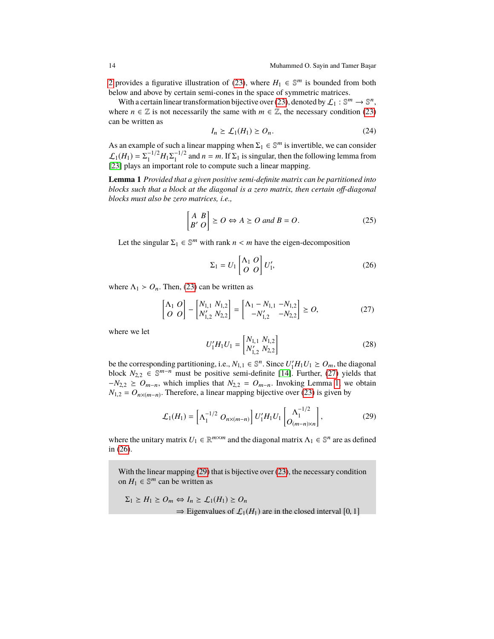[2](#page-12-0) provides a figurative illustration of [\(23\)](#page-12-1), where  $H_1 \in \mathbb{S}^m$  is bounded from both below and above by certain semi-cones in the space of symmetric matrices.

With a certain linear transformation bijective over [\(23\)](#page-12-1), denoted by  $\mathcal{L}_1 : \mathbb{S}^m \to \mathbb{S}^n$ , where  $n \in \mathbb{Z}$  is not necessarily the same with  $m \in \mathbb{Z}$ , the necessary condition [\(23\)](#page-12-1) can be written as

$$
I_n \ge \mathcal{L}_1(H_1) \ge O_n. \tag{24}
$$

As an example of such a linear mapping when  $\Sigma_1 \in \mathbb{S}^m$  is invertible, we can consider  $\mathcal{L}_1(H_1) = \Sigma_1^{-1/2}$  $\frac{1}{1}$ <sup>-1/2</sup> $H_1\Sigma_1^{-1/2}$  $1/2$  and  $n = m$ . If  $\Sigma_1$  is singular, then the following lemma from [\[23\]](#page-29-16) plays an important role to compute such a linear mapping.

<span id="page-13-1"></span>**Lemma 1** *Provided that a given positive semi-definite matrix can be partitioned into blocks such that a block at the diagonal is a zero matrix, then certain off-diagonal blocks must also be zero matrices, i.e.,*

$$
\begin{bmatrix} A & B \\ B' & O \end{bmatrix} \succeq O \Leftrightarrow A \succeq O \text{ and } B = O.
$$
 (25)

Let the singular  $\Sigma_1 \in \mathbb{S}^m$  with rank  $n < m$  have the eigen-decomposition

<span id="page-13-2"></span>
$$
\Sigma_1 = U_1 \begin{bmatrix} \Lambda_1 & O \\ O & O \end{bmatrix} U'_1,\tag{26}
$$

where  $\Lambda_1 > O_n$ . Then, [\(23\)](#page-12-1) can be written as

<span id="page-13-0"></span>
$$
\begin{bmatrix} \Lambda_1 & O \\ O & O \end{bmatrix} - \begin{bmatrix} N_{1,1} & N_{1,2} \\ N_{1,2}' & N_{2,2} \end{bmatrix} = \begin{bmatrix} \Lambda_1 - N_{1,1} & -N_{1,2} \\ -N_{1,2}' & -N_{2,2} \end{bmatrix} \ge O,
$$
 (27)

where we let

$$
U_1' H_1 U_1 = \begin{bmatrix} N_{1,1} & N_{1,2} \\ N_{1,2}' & N_{2,2} \end{bmatrix}
$$
 (28)

be the corresponding partitioning, i.e.,  $N_{1,1} \in \mathbb{S}^n$ . Since  $U'_1H_1U_1 \geq O_m$ , the diagonal<br>block  $N_{1,1} \in \mathbb{S}^{m-n}$  must be positive somi-definite [14] Eurther (27) violds that block  $N_{2,2} \in \mathbb{S}^{m-n}$  must be positive semi-definite [\[14\]](#page-29-17). Further, [\(27\)](#page-13-0) yields that  $N_{\text{max}} \geq 0$  which implies that  $N_{\text{max}} \geq 0$  Involving Lamma 1, we obtain  $-V_{2,2} \geq O_{m-n}$ , which implies that  $N_{2,2} = O_{m-n}$ . Invoking Lemma [1,](#page-13-1) we obtain  $N_{1,2} = O_{n \times (m-n)}$ . Therefore, a linear mapping bijective over [\(23\)](#page-12-1) is given by

<span id="page-13-3"></span>
$$
\mathcal{L}_1(H_1) = \left[ \Lambda_1^{-1/2} \ O_{n \times (m-n)} \right] U_1' H_1 U_1 \begin{bmatrix} \Lambda_1^{-1/2} \\ O_{(m-n) \times n} \end{bmatrix},\tag{29}
$$

where the unitary matrix  $U_1 \in \mathbb{R}^{m \times m}$  and the diagonal matrix  $\Lambda_1 \in \mathbb{S}^n$  are as defined in [\(26\)](#page-13-2).

With the linear mapping [\(29\)](#page-13-3) that is bijective over [\(23\)](#page-12-1), the necessary condition on  $H_1 \in \mathbb{S}^m$  can be written as

$$
\Sigma_1 \ge H_1 \ge O_m \Leftrightarrow I_n \ge \mathcal{L}_1(H_1) \ge O_n
$$
  
\n
$$
\Rightarrow
$$
 Eigenvalues of  $\mathcal{L}_1(H_1)$  are in the closed interval [0, 1]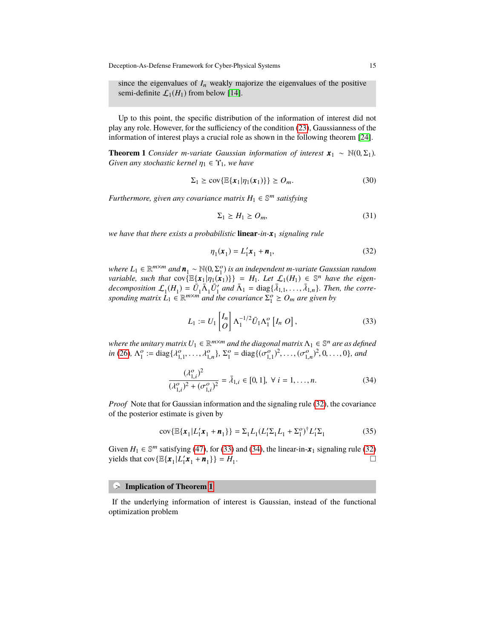since the eigenvalues of  $I_n$  weakly majorize the eigenvalues of the positive semi-definite  $\mathcal{L}_1(H_1)$  from below [\[14\]](#page-29-17).

Up to this point, the specific distribution of the information of interest did not play any role. However, for the sufficiency of the condition [\(23\)](#page-12-1), Gaussianness of the information of interest plays a crucial role as shown in the following theorem [\[24\]](#page-29-2).

<span id="page-14-3"></span>**Theorem 1** *Consider m-variate Gaussian information of interest*  $\mathbf{x}_1 \sim \mathbb{N}(0, \Sigma_1)$ *. Given any stochastic kernel*  $\eta_1 \in \Upsilon_1$ *, we have* 

$$
\Sigma_1 \geq \text{cov}\{\mathbb{E}\{\boldsymbol{x}_1|\eta_1(\boldsymbol{x}_1)\}\} \geq O_m.
$$
 (30)

*Furthermore, given any covariance matrix H*<sup>1</sup> ∈ S <sup>m</sup> *satisfying*

$$
\Sigma_1 \ge H_1 \ge O_m,\tag{31}
$$

*we have that there exists a probabilistic* **linear***-in-x* <sup>1</sup> *signaling rule*

<span id="page-14-0"></span>
$$
\eta_1(\boldsymbol{x}_1) = L_1' \boldsymbol{x}_1 + \boldsymbol{n}_1,\tag{32}
$$

*where*  $L_1 \in \mathbb{R}^{m \times m}$  and  $\mathbf{n}_1 \sim \mathbb{N}(0, \Sigma_1^o)$  is an independent *m*-variate Gaussian random<br>variable, such that  $\text{cov}(\mathbb{E}\{x, |n, (x, \cdot)\}) = H$ . Let  $f_1(H_1) \in \mathbb{S}^n$  have the eigen*variable, such that*  $cov\{ \mathbb{E}\{x_1 | \eta_1(x_1)\} \} = H_1$ . Let  $\mathcal{L}_1(H_1) \in \mathbb{S}^n$  have the eigen-<br>decomposition  $\int_{\mathbb{S}^n} (H_1) - \overline{H} \overline{A} \overline{H}$  and  $\overline{A}$ ,  $-\text{diag}\{\overline{A}, \ldots, \overline{A}\}$ . Then the corre*decomposition*  $\mathcal{L}_1(H_1) = \bar{U}_1 \bar{\Lambda}_1 \bar{U}_1'$  and  $\bar{\Lambda}_1 = \text{diag}\{\bar{\lambda}_{1,1}, \ldots, \bar{\lambda}_{1,n}\}$ *. Then, the corre-*<br>sponding matrix  $I_1 \in \mathbb{R}^{m \times m}$  and the covariance  $\Sigma^o > 0$ , are given by sponding matrix  $L_1 \in \mathbb{R}^{m \times m}$  and the covariance  $\Sigma_1^o \geq O_m$  are given by

<span id="page-14-1"></span>
$$
L_1 := U_1 \begin{bmatrix} I_n \\ O \end{bmatrix} \Lambda_1^{-1/2} \bar{U}_1 \Lambda_1^o \begin{bmatrix} I_n & O \end{bmatrix},\tag{33}
$$

where the unitary matrix  $U_1 \in \mathbb{R}^{m \times m}$  and the diagonal matrix  $\Lambda_1 \in \mathbb{S}^n$  are as defined *in* [\(26\)](#page-13-2)*,*  $\Lambda_1^o := \text{diag}\{ \lambda_{1,1}^o, \ldots, \lambda_{1,n}^o \}$ *,*  $\Sigma_1^o = \text{diag}\{ (\sigma_{1,1}^o)^2, \ldots, (\sigma_{1,n}^o)^2, 0, \ldots, 0 \}$ *, and* 

<span id="page-14-2"></span>
$$
\frac{(\lambda_{1,i}^o)^2}{(\lambda_{1,i}^o)^2 + (\sigma_{1,i}^o)^2} = \bar{\lambda}_{1,i} \in [0, 1], \ \forall \ i = 1, ..., n.
$$
 (34)

*Proof* Note that for Gaussian information and the signaling rule [\(32\)](#page-14-0), the covariance of the posterior estimate is given by

$$
cov{\mathbb{E}\{\boldsymbol{x}_1 | L_1' \boldsymbol{x}_1 + \boldsymbol{n}_1\}} = \Sigma_1 L_1 (L_1' \Sigma_1 L_1 + \Sigma_1^o)^{\dagger} L_1' \Sigma_1
$$
 (35)

Given  $H_1 \in \mathbb{S}^m$  satisfying [\(47\)](#page-17-1), for [\(33\)](#page-14-1) and [\(34\)](#page-14-2), the linear-in- $x_1$  signaling rule [\(32\)](#page-14-0) yields that  $cov\{\mathbb{E}\{\bm{x}_1 | L'_1\bm{x}_1 + \bm{n}_1\}\} = H_1$ . В последните последните последните последните последните последните последните последните последните последн<br>В последните последните последните последните последните последните последните последните последните последнит

# **•** > **Implication of Theorem [1](#page-14-3)**

If the underlying information of interest is Gaussian, instead of the functional optimization problem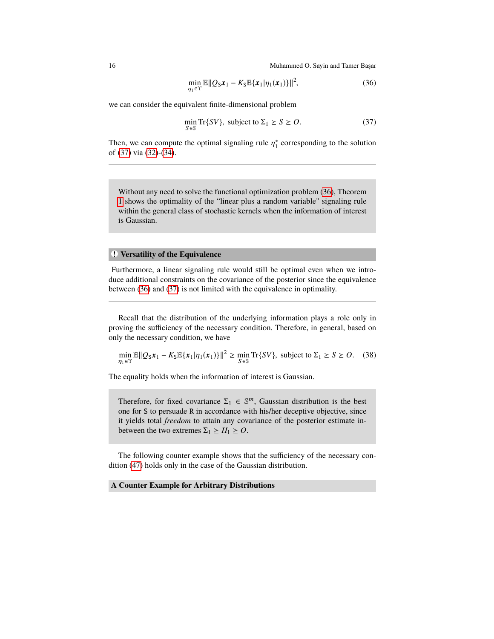<span id="page-15-1"></span>
$$
\min_{\eta_1 \in \Upsilon} \mathbb{E} \|Q_S \mathbf{x}_1 - K_S \mathbb{E} \{\mathbf{x}_1 | \eta_1(\mathbf{x}_1)\} \|^2, \tag{36}
$$

we can consider the equivalent finite-dimensional problem

<span id="page-15-0"></span>
$$
\min_{S \in \mathbb{S}} \text{Tr}\{SV\}, \text{ subject to } \Sigma_1 \ge S \ge O. \tag{37}
$$

Then, we can compute the optimal signaling rule  $\eta_1^*$  corresponding to the solution of (37) via (32)-(34) of [\(37\)](#page-15-0) via [\(32\)](#page-14-0)-[\(34\)](#page-14-2).

Without any need to solve the functional optimization problem [\(36\)](#page-15-1), Theorem [1](#page-14-3) shows the optimality of the "linear plus a random variable" signaling rule within the general class of stochastic kernels when the information of interest is Gaussian.

## **• ! Versatility of the Equivalence**

Furthermore, a linear signaling rule would still be optimal even when we introduce additional constraints on the covariance of the posterior since the equivalence between [\(36\)](#page-15-1) and [\(37\)](#page-15-0) is not limited with the equivalence in optimality.

Recall that the distribution of the underlying information plays a role only in proving the sufficiency of the necessary condition. Therefore, in general, based on only the necessary condition, we have

$$
\min_{\eta_1 \in \Upsilon} \mathbb{E} \|Q_S \mathbf{x}_1 - K_S \mathbb{E} \{\mathbf{x}_1 | \eta_1(\mathbf{x}_1)\} \|^2 \ge \min_{S \in \mathbb{S}} \text{Tr} \{SV\}, \text{ subject to } \Sigma_1 \ge S \ge O. \quad (38)
$$

The equality holds when the information of interest is Gaussian.

Therefore, for fixed covariance  $\Sigma_1 \in \mathbb{S}^m$ , Gaussian distribution is the best one for S to persuade R in accordance with his/her deceptive objective, since it yields total *freedom* to attain any covariance of the posterior estimate inbetween the two extremes  $\Sigma_1 \geq H_1 \geq O$ .

The following counter example shows that the sufficiency of the necessary condition [\(47\)](#page-17-1) holds only in the case of the Gaussian distribution.

#### **A Counter Example for Arbitrary Distributions**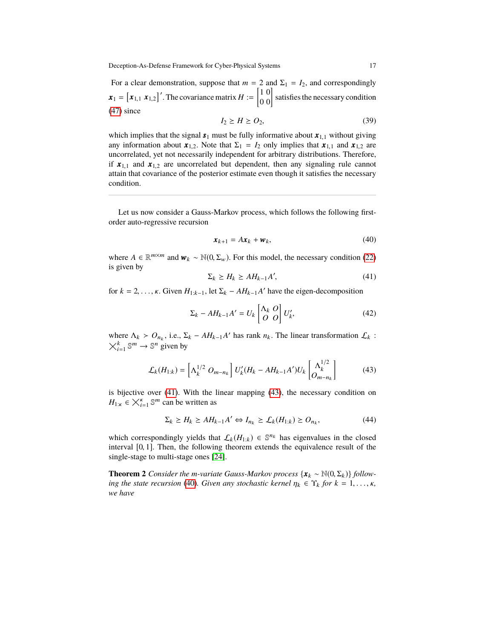For a clear demonstration, suppose that  $m = 2$  and  $\Sigma_1 = I_2$ , and correspondingly  $\boldsymbol{x}_1 = \begin{bmatrix} x_{1,1} & x_{1,2} \end{bmatrix}'$ . The covariance matrix  $H := \begin{bmatrix} 1 & 0 \\ 0 & 0 \end{bmatrix}$  satisfies the necessary condition [\(47\)](#page-17-1) since

$$
I_2 \ge H \ge O_2,\tag{39}
$$

which implies that the signal  $s_1$  must be fully informative about  $x_{1,1}$  without giving any information about  $\mathbf{x}_{1,2}$ . Note that  $\Sigma_1 = I_2$  only implies that  $\mathbf{x}_{1,1}$  and  $\mathbf{x}_{1,2}$  are uncorrelated, yet not necessarily independent for arbitrary distributions. Therefore, if  $x_{1,1}$  and  $x_{1,2}$  are uncorrelated but dependent, then any signaling rule cannot attain that covariance of the posterior estimate even though it satisfies the necessary condition.

Let us now consider a Gauss-Markov process, which follows the following firstorder auto-regressive recursion

<span id="page-16-2"></span>
$$
\boldsymbol{x}_{k+1} = A\boldsymbol{x}_k + \boldsymbol{w}_k,\tag{40}
$$

where  $A \in \mathbb{R}^{m \times m}$  and  $\mathbf{w}_k \sim \mathbb{N}(0, \Sigma_w)$ . For this model, the necessary condition [\(22\)](#page-11-2) is given by is given by

<span id="page-16-0"></span>
$$
\Sigma_k \ge H_k \ge AH_{k-1}A',\tag{41}
$$

for  $k = 2, ..., \kappa$ . Given  $H_{1:k-1}$ , let  $\Sigma_k - AH_{k-1}A'$  have the eigen-decomposition

<span id="page-16-3"></span>
$$
\Sigma_k - AH_{k-1}A' = U_k \begin{bmatrix} \Lambda_k & O \\ O & O \end{bmatrix} U'_k,
$$
\n(42)

where  $\Lambda_k > O_{n_k}$ , i.e.,  $\Sigma_k - AH_{k-1}A'$  has rank  $n_k$ . The linear transformation  $\mathcal{L}_k$ : where  $N_k > U_{n_k}$ , i.e., 2<br>  $\chi_{i=1}^k \mathbb{S}^m \to \mathbb{S}^n$  given by

<span id="page-16-1"></span>
$$
\mathcal{L}_k(H_{1:k}) = \left[\Lambda_k^{1/2} \ O_{m-n_k}\right] U'_k(H_k - AH_{k-1}A')U_k\begin{bmatrix} \Lambda_k^{1/2} \\ O_{m-n_k} \end{bmatrix}
$$
(43)

is bijective over [\(41\)](#page-16-0). With the linear mapping [\(43\)](#page-16-1), the necessary condition on  $H_{1:\kappa} \in \bigtimes_{i=1}^{\kappa} \mathbb{S}^m$  can be written as

$$
\Sigma_k \ge H_k \ge AH_{k-1}A' \Leftrightarrow I_{n_k} \ge \mathcal{L}_k(H_{1:k}) \ge O_{n_k},\tag{44}
$$

which correspondingly yields that  $\mathcal{L}_k(H_{1:k}) \in \mathbb{S}^{n_k}$  has eigenvalues in the closed interval [0, <sup>1</sup>]. Then, the following theorem extends the equivalence result of the single-stage to multi-stage ones [\[24\]](#page-29-2).

<span id="page-16-4"></span>**Theorem 2** *Consider the m-variate Gauss-Markov process*  $\{x_k \sim \mathbb{N}(0, \Sigma_k)\}\$  *following the state recursion* [\(40\)](#page-16-2)*. Given any stochastic kernel*  $\eta_k \in \Upsilon_k$  *for*  $k = 1, \ldots, \kappa$ *, we have*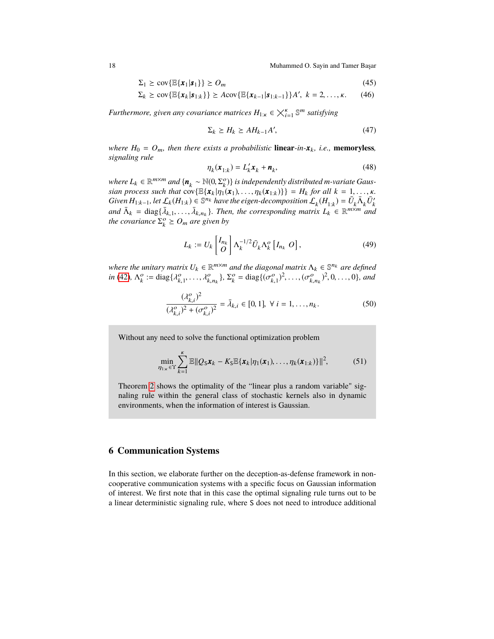$$
\Sigma_1 \geq \text{cov}\{\mathbb{E}\{\boldsymbol{x}_1|\boldsymbol{s}_1\}\} \geq O_m \tag{45}
$$

$$
\Sigma_k \geq \text{cov}\{\mathbb{E}\{\boldsymbol{x}_k|\boldsymbol{s}_{1:k}\}\} \geq A\text{cov}\{\mathbb{E}\{\boldsymbol{x}_{k-1}|\boldsymbol{s}_{1:k-1}\}\}A',\ k=2,\ldots,\kappa.\qquad(46)
$$

*Furthermore, given any covariance matrices <sup>H</sup>*1:κ <sup>∈</sup> κ i=1 S <sup>m</sup> *satisfying*

<span id="page-17-1"></span>
$$
\Sigma_k \ge H_k \ge AH_{k-1}A',\tag{47}
$$

*where*  $H_0 = O_m$ *, then there exists a probabilistic* **linear***-in-* $x_k$ *, i.e.*, **memoryless***, signaling rule*

$$
\eta_k(\mathbf{x}_{1:k}) = L'_k \mathbf{x}_k + \mathbf{n}_k,\tag{48}
$$

*where*  $L_k \in \mathbb{R}^{m \times m}$  and  $\{n_k \sim \mathbb{N}(0, \Sigma_\epsilon^o)\}$  *is independently distributed m*-variate Gaus-<br>
sign process such that  $cov(\mathbb{E}\{x, |n_i(x_i)|, ..., n_i(x_i)\}) = H_i$  for all  $k = 1$ *sian process such that*  $\text{cov}\{\mathbb{E}\{\mathbf{x}_k | \eta_1(\mathbf{x}_1), \dots, \eta_k(\mathbf{x}_{1:k})\}\} = H_k \text{ for all } k = 1, \dots, k.$ *Given*  $H_{1:k-1}$ , let  $\mathcal{L}_k(H_{1:k}) \in \mathbb{S}^{n_k}$  have the eigen-decomposition  $\mathcal{L}_k(H_{1:k}) = \bar{U}_k \bar{\Lambda}_k \bar{U}'_k$ and  $\bar{\Lambda}_k = \text{diag}\{\bar{\lambda}_{k,1}, \ldots, \bar{\lambda}_{k,n_k}\}\$ . Then, the corresponding matrix  $L_k \in \mathbb{R}^{m \times m}$  and the covariance  $\bar{\Sigma}^o > 0$ , are given by *the covariance*  $\Sigma_k^o \geq O_m$  *are given by* 

$$
L_k := U_k \begin{bmatrix} I_{n_k} \\ O \end{bmatrix} \Lambda_k^{-1/2} \bar{U}_k \Lambda_k^o \left[ I_{n_k} O \right], \tag{49}
$$

where the unitary matrix  $U_k \in \mathbb{R}^{m \times m}$  and the diagonal matrix  $\Lambda_k \in \mathbb{S}^{n_k}$  are defined *in* [\(42\)](#page-16-3),  $\Lambda_k^o := \text{diag}\{\lambda_{k,1}^o, \ldots, \lambda_{k,n_k}^o\}, \Sigma_k^o = \text{diag}\{(\sigma_{k,1}^o)^2, \ldots, (\sigma_{k,n_k}^o)^2, 0, \ldots, 0\},$  and

$$
\frac{(\lambda_{k,i}^o)^2}{(\lambda_{k,i}^o)^2 + (\sigma_{k,i}^o)^2} = \bar{\lambda}_{k,i} \in [0,1], \ \forall \ i = 1,\dots, n_k.
$$
 (50)

Without any need to solve the functional optimization problem

$$
\min_{\eta_{1:k}\in\Upsilon}\sum_{k=1}^k\mathbb{E}\|Q_S\boldsymbol{x}_k-K_S\mathbb{E}\{\boldsymbol{x}_k|\eta_1(\boldsymbol{x}_1),\ldots,\eta_k(\boldsymbol{x}_{1:k})\}\|^2,
$$
(51)

Theorem [2](#page-16-4) shows the optimality of the "linear plus a random variable" signaling rule within the general class of stochastic kernels also in dynamic environments, when the information of interest is Gaussian.

## <span id="page-17-0"></span>**6 Communication Systems**

In this section, we elaborate further on the deception-as-defense framework in noncooperative communication systems with a specific focus on Gaussian information of interest. We first note that in this case the optimal signaling rule turns out to be a linear deterministic signaling rule, where S does not need to introduce additional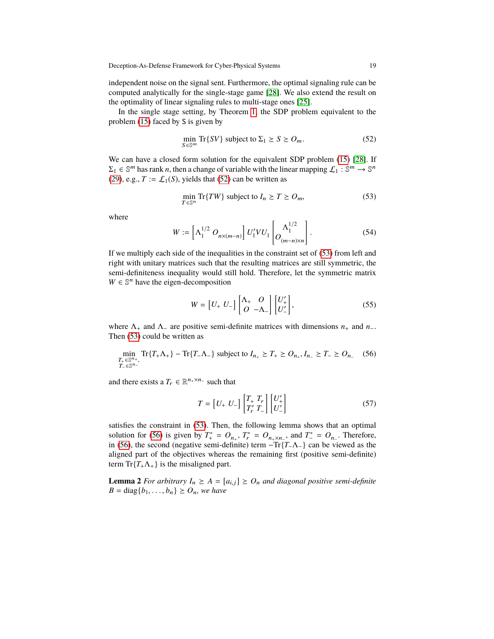independent noise on the signal sent. Furthermore, the optimal signaling rule can be computed analytically for the single-stage game [\[28\]](#page-30-1). We also extend the result on the optimality of linear signaling rules to multi-stage ones [\[25\]](#page-29-0).

In the single stage setting, by Theorem [1,](#page-14-3) the SDP problem equivalent to the problem [\(15\)](#page-10-1) faced by S is given by

<span id="page-18-0"></span>
$$
\min_{S \in \mathbb{S}^m} \text{Tr}\{SV\} \text{ subject to } \Sigma_1 \ge S \ge O_m. \tag{52}
$$

We can have a closed form solution for the equivalent SDP problem  $(15)$  [\[28\]](#page-30-1). If  $\Sigma_1 \in \mathbb{S}^m$  has rank *n*, then a change of variable with the linear mapping  $\mathcal{L}_1 : \mathbb{S}^m \to \mathbb{S}^n$ [\(29\)](#page-13-3), e.g.,  $T := \mathcal{L}_1(S)$ , yields that [\(52\)](#page-18-0) can be written as

<span id="page-18-1"></span>
$$
\min_{T \in \mathbb{S}^n} \text{Tr}\{TW\} \text{ subject to } I_n \ge T \ge O_m,\tag{53}
$$

where

$$
W := \left[\Lambda_1^{1/2} \ O_{n \times (m-n)}\right] U_1' V U_1 \left[O_{(m-n) \times n}^{1/2}\right].
$$
 (54)

If we multiply each side of the inequalities in the constraint set of [\(53\)](#page-18-1) from left and right with unitary matrices such that the resulting matrices are still symmetric, the semi-definiteness inequality would still hold. Therefore, let the symmetric matrix  $W \in \mathbb{S}^n$  have the eigen-decomposition

<span id="page-18-4"></span>
$$
W = \begin{bmatrix} U_+ & U_- \end{bmatrix} \begin{bmatrix} \Lambda_+ & O \\ O & -\Lambda_- \end{bmatrix} \begin{bmatrix} U_+^{\prime} \\ U_-^{\prime} \end{bmatrix},\tag{55}
$$

where Λ<sup>+</sup> and Λ<sup>−</sup> are positive semi-definite matrices with dimensions *n*<sup>+</sup> and *n*−. Then [\(53\)](#page-18-1) could be written as

<span id="page-18-2"></span>
$$
\min_{\substack{T_+ \in \mathbb{S}^{n_+},\\T_- \in \mathbb{S}^{n_-}}} \text{Tr}\{T_+\Lambda_+\} - \text{Tr}\{T_-\Lambda_-\} \text{ subject to } I_{n_+} \ge T_+ \ge O_{n_+}, I_{n_-} \ge T_- \ge O_{n_-} \quad (56)
$$

and there exists a  $T_r \in \mathbb{R}^{n_+ \times n_-}$  such that

<span id="page-18-3"></span>
$$
T = \begin{bmatrix} U_+ & U_- \end{bmatrix} \begin{bmatrix} T_+ & T_r \\ T'_r & T_- \end{bmatrix} \begin{bmatrix} U'_+ \\ U'_- \end{bmatrix} \tag{57}
$$

satisfies the constraint in [\(53\)](#page-18-1). Then, the following lemma shows that an optimal solution for [\(56\)](#page-18-2) is given by  $T^*_+ = O_{n_+}, T^*_r = O_{n_+ \times n_-}$ , and  $T^*_- = O_{n_-}$ . Therefore, in [\(56\)](#page-18-2), the second (negative semi-definite) term  $-Tr\{T_-\Lambda_-\}$  can be viewed as the aligned part of the objectives whereas the remaining first (positive semi-definite) term  $Tr{T_{+}\Lambda_{+}}$  is the misaligned part.

**Lemma 2** *For arbitrary*  $I_n \geq A = [a_{i,j}] \geq O_n$  *and diagonal positive semi-definite B* = diag ${b_1, ..., b_n} \ge O_n$ *, we have*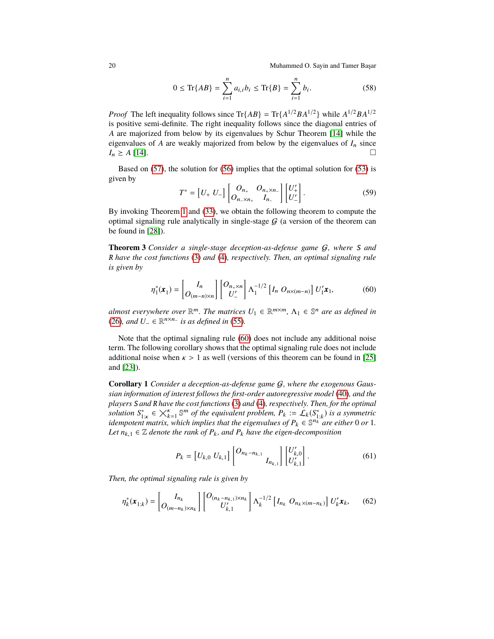$$
0 \le \text{Tr}\{AB\} = \sum_{i=1}^{n} a_{i,i} b_i \le \text{Tr}\{B\} = \sum_{i=1}^{n} b_i. \tag{58}
$$

*Proof* The left inequality follows since  $\text{Tr}\{AB\} = \text{Tr}\{A^{1/2}BA^{1/2}\}\$  while  $A^{1/2}BA^{1/2}$ is positive semi-definite. The right inequality follows since the diagonal entries of *A* are majorized from below by its eigenvalues by Schur Theorem [\[14\]](#page-29-17) while the eigenvalues of *A* are weakly majorized from below by the eigenvalues of  $I_n$  since  $I_n \ge A$  [\[14\]](#page-29-17).

Based on [\(57\)](#page-18-3), the solution for [\(56\)](#page-18-2) implies that the optimal solution for [\(53\)](#page-18-1) is given by

$$
T^* = [U_+ U_-] \begin{bmatrix} O_{n_+} & O_{n_+ \times n_-} \\ O_{n_- \times n_+} & I_{n_-} \end{bmatrix} \begin{bmatrix} U_+^{\prime} \\ U_-^{\prime} \end{bmatrix} . \tag{59}
$$

By invoking Theorem [1](#page-14-3) and [\(33\)](#page-14-1), we obtain the following theorem to compute the optimal signaling rule analytically in single-stage  $G$  (a version of the theorem can be found in [\[28\]](#page-30-1)).

**Theorem 3** *Consider a single-stage deception-as-defense game* G*, where* S *and* R *have the cost functions* [\(3\)](#page-8-0) *and* [\(4\)](#page-8-1)*, respectively. Then, an optimal signaling rule is given by*

<span id="page-19-0"></span>
$$
\eta_1^*(\boldsymbol{x}_1) = \begin{bmatrix} I_n \\ O_{(m-n)\times n} \end{bmatrix} \begin{bmatrix} O_{n+\times n} \\ U'_- \end{bmatrix} \Lambda_1^{-1/2} \begin{bmatrix} I_n & O_{n\times(m-n)} \end{bmatrix} U'_1 \boldsymbol{x}_1,\tag{60}
$$

*almost everywhere over*  $\mathbb{R}^m$ *. The matrices*  $U_1 \in \mathbb{R}^{m \times m}$ ,  $\Lambda_1 \in \mathbb{S}^n$  *are as defined in* [\(26\)](#page-13-2)*, and*  $U_$  ∈  $\mathbb{R}^{n \times n-}$  *is as defined in* [\(55\)](#page-18-4)*.* 

Note that the optimal signaling rule [\(60\)](#page-19-0) does not include any additional noise term. The following corollary shows that the optimal signaling rule does not include additional noise when  $\kappa > 1$  as well (versions of this theorem can be found in [\[25\]](#page-29-0) and [\[23\]](#page-29-16)).

<span id="page-19-1"></span>**Corollary 1** *Consider a deception-as-defense game* G*, where the exogenous Gaussian information of interest follows the first-order autoregressive model* [\(40\)](#page-16-2)*, and the players* S *and* R *have the cost functions*[\(3\)](#page-8-0) *and* [\(4\)](#page-8-1)*, respectively. Then, for the optimal* >*solution*  $S^*_{1:k} \in \bigtimes_{k=1}^k \mathbb{S}^m$  *of the equivalent problem,*  $P_k := \mathcal{L}_k(S^*_{1:k})$  *is a symmetric idempotent matrix, which implies that the eigenvalues of*  $P_k \in \mathbb{S}^{n_k}$  *are either* 0 *or* 1*. idempotent matrix, which implies that the eigenvalues of*  $P_k \in \mathbb{S}^{n_k}$  *are either* 0 *or* 1*. Let*  $n_{k,1} \in \mathbb{Z}$  *denote the rank of*  $P_k$ *, and*  $P_k$  *have the eigen-decomposition* 

$$
P_k = \begin{bmatrix} U_{k,0} & U_{k,1} \end{bmatrix} \begin{bmatrix} O_{n_k - n_{k,1}} \\ I_{n_{k,1}} \end{bmatrix} \begin{bmatrix} U'_{k,0} \\ U'_{k,1} \end{bmatrix} . \tag{61}
$$

*Then, the optimal signaling rule is given by*

$$
\eta_k^*(\mathbf{x}_{1:k}) = \begin{bmatrix} I_{n_k} \\ O_{(m-n_k)\times n_k} \end{bmatrix} \begin{bmatrix} O_{(n_k-n_{k,1})\times n_k} \\ U'_{k,1} \end{bmatrix} \Lambda_k^{-1/2} \begin{bmatrix} I_{n_k} & O_{n_k \times (m-n_k)} \end{bmatrix} U'_k \mathbf{x}_k, \tag{62}
$$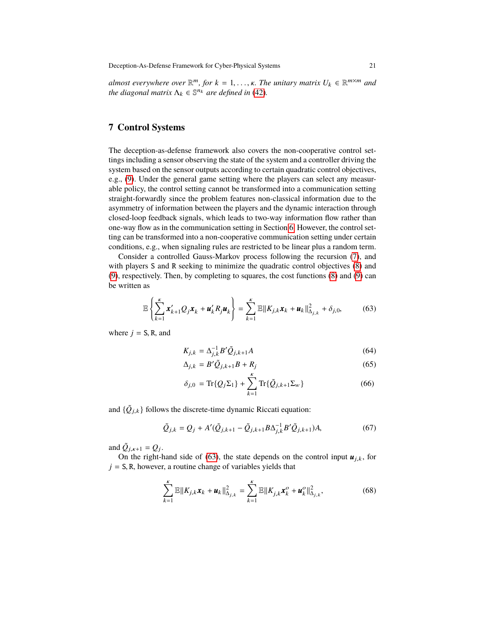*almost everywhere over*  $\mathbb{R}^m$ , *for*  $k = 1, ..., \kappa$ . The unitary matrix  $U_k \in \mathbb{R}^{m \times m}$  and the diggoral matrix  $\Lambda_k \in \mathbb{S}^{n_k}$  are defined in (A?) *the diagonal matrix*  $\Lambda_k \in \mathbb{S}^{n_k}$  *are defined in* [\(42\)](#page-16-3).

## <span id="page-20-0"></span>**7 Control Systems**

The deception-as-defense framework also covers the non-cooperative control settings including a sensor observing the state of the system and a controller driving the system based on the sensor outputs according to certain quadratic control objectives, e.g., [\(9\)](#page-9-1). Under the general game setting where the players can select any measurable policy, the control setting cannot be transformed into a communication setting straight-forwardly since the problem features non-classical information due to the asymmetry of information between the players and the dynamic interaction through closed-loop feedback signals, which leads to two-way information flow rather than one-way flow as in the communication setting in Section [6.](#page-17-0) However, the control setting can be transformed into a non-cooperative communication setting under certain conditions, e.g., when signaling rules are restricted to be linear plus a random term.

Consider a controlled Gauss-Markov process following the recursion [\(7\)](#page-8-2), and with players S and R seeking to minimize the quadratic control objectives [\(8\)](#page-9-0) and [\(9\)](#page-9-1), respectively. Then, by completing to squares, the cost functions [\(8\)](#page-9-0) and [\(9\)](#page-9-1) can be written as

<span id="page-20-1"></span>
$$
\mathbb{E}\left\{\sum_{k=1}^K \boldsymbol{x}'_{k+1} Q_j \boldsymbol{x}_k + \boldsymbol{u}'_k R_j \boldsymbol{u}_k\right\} = \sum_{k=1}^K \mathbb{E} \|K_{j,k} \boldsymbol{x}_k + \boldsymbol{u}_k\|_{\Delta_{j,k}}^2 + \delta_{j,0},\tag{63}
$$

where  $j = S$ , R, and

$$
K_{j,k} = \Delta_{j,k}^{-1} B' \tilde{Q}_{j,k+1} A
$$
\n(64)

$$
\Delta_{j,k} = B' \tilde{Q}_{j,k+1} B + R_j \tag{65}
$$

$$
\delta_{j,0} = \text{Tr}\{Q_j \Sigma_1\} + \sum_{k=1}^{k} \text{Tr}\{\tilde{Q}_{j,k+1} \Sigma_w\} \tag{66}
$$

and  $\{\tilde{Q}_{j,k}\}\$  follows the discrete-time dynamic Riccati equation:

$$
\tilde{Q}_{j,k} = Q_j + A'(\tilde{Q}_{j,k+1} - \tilde{Q}_{j,k+1} B \Delta_{j,k}^{-1} B' \tilde{Q}_{j,k+1}) A,
$$
\n(67)

and  $\tilde{Q}_{j,k+1} = Q_j$ .<br>On the right h

On the right-hand side of [\(63\)](#page-20-1), the state depends on the control input  $u_{j,k}$ , for  $j = S$ , R, however, a routine change of variables yields that

<span id="page-20-2"></span>
$$
\sum_{k=1}^{K} \mathbb{E} \| K_{j,k} \mathbf{x}_k + \mathbf{u}_k \|_{\Delta_{j,k}}^2 = \sum_{k=1}^{K} \mathbb{E} \| K_{j,k} \mathbf{x}_k^o + \mathbf{u}_k^o \|_{\Delta_{j,k}}^2,
$$
(68)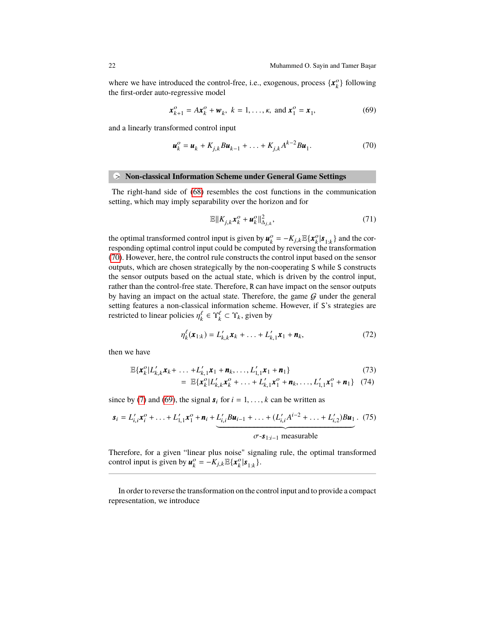where we have introduced the control-free, i.e., exogenous, process  $\{x_k^o\}$  following the first-order auto-regressive model

<span id="page-21-1"></span>
$$
\mathbf{x}_{k+1}^o = A\mathbf{x}_k^o + \mathbf{w}_k, \ k = 1, \dots, \kappa, \text{ and } \mathbf{x}_1^o = \mathbf{x}_1,\tag{69}
$$

and a linearly transformed control input

<span id="page-21-0"></span>
$$
\mathbf{u}_{k}^{o} = \mathbf{u}_{k} + K_{j,k} B \mathbf{u}_{k-1} + \ldots + K_{j,k} A^{k-2} B \mathbf{u}_{1}.
$$
 (70)

#### **•** > **Non-classical Information Scheme under General Game Settings**

The right-hand side of [\(68\)](#page-20-2) resembles the cost functions in the communication setting, which may imply separability over the horizon and for

$$
\mathbb{E}\|K_{j,k}\mathbf{x}_k^o + \mathbf{u}_k^o\|_{\Delta_{j,k}}^2,\tag{71}
$$

the optimal transformed control input is given by  $u_k^o = -K_{j,k} \mathbb{E}\{x_k^o | s_{1:k}\}\$  and the corresponding ontimal control input could be computed by reversing the transformation responding optimal control input could be computed by reversing the transformation [\(70\)](#page-21-0). However, here, the control rule constructs the control input based on the sensor outputs, which are chosen strategically by the non-cooperating S while S constructs the sensor outputs based on the actual state, which is driven by the control input, rather than the control-free state. Therefore, R can have impact on the sensor outputs by having an impact on the actual state. Therefore, the game  $G$  under the general setting features a non-classical information scheme. However, if S's strategies are restricted to linear policies  $\eta_k^{\ell} \in \Upsilon_k^{\ell} \subset \Upsilon_k$ , given by

$$
\eta_k^{\ell}(\mathbf{x}_{1:k}) = L'_{k,k}\mathbf{x}_k + \ldots + L'_{k,1}\mathbf{x}_1 + \mathbf{n}_k, \tag{72}
$$

then we have

$$
\mathbb{E}\{\mathbf{x}_{k}^{o}|L'_{k,k}\mathbf{x}_{k}+\ldots+L'_{k,1}\mathbf{x}_{1}+\mathbf{n}_{k},\ldots,L'_{1,1}\mathbf{x}_{1}+\mathbf{n}_{1}\}\n= \mathbb{E}\{\mathbf{x}^{o}|L'|\mathbf{x}^{o}+\ldots+L'|\mathbf{x}^{o}+\mathbf{n},\ldots,L'|\mathbf{x}^{o}+\mathbf{n}_{1}\}\n\tag{73}
$$

$$
= \mathbb{E}\{x_k^o | L'_{k,k}x_k^o + \ldots + L'_{k,1}x_1^o + \mathbf{n}_k, \ldots, L'_{1,1}x_1^o + \mathbf{n}_1\} \quad (74)
$$

since by [\(7\)](#page-8-2) and [\(69\)](#page-21-1), the signal  $s_i$  for  $i = 1, ..., k$  can be written as

$$
\mathbf{s}_{i} = L'_{i,i} \mathbf{x}_{i}^{o} + \ldots + L'_{1,1} \mathbf{x}_{1}^{o} + \mathbf{n}_{i} + \underbrace{L'_{i,i} B \mathbf{u}_{i-1} + \ldots + (L'_{i,i} A^{i-2} + \ldots + L'_{i,2}) B \mathbf{u}_{1}}_{\sigma - \mathbf{s}_{1:i-1} \text{ measurable}}.
$$
 (75)

Therefore, for a given "linear plus noise" signaling rule, the optimal transformed control input is given by  $\mathbf{u}_k^o = -K_{j,k} \mathbb{E} {\{\mathbf{x}_k^o | \mathbf{s}_{1:k}\}}.$ 

In order to reverse the transformation on the control input and to provide a compact representation, we introduce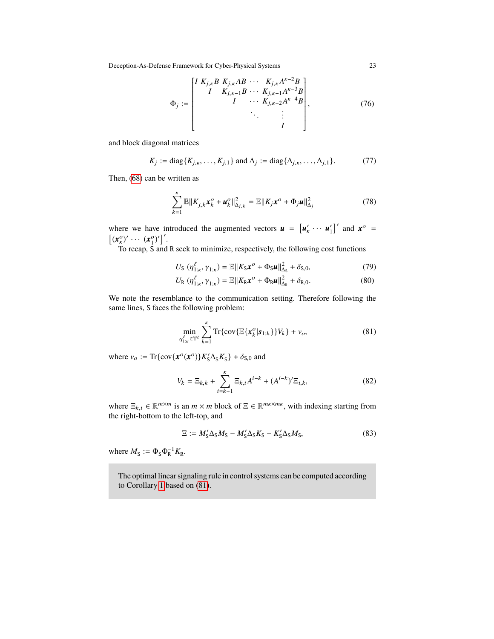$$
\Phi_j := \begin{bmatrix} I & K_{j,\kappa} B & K_{j,\kappa} AB & \cdots & K_{j,\kappa} A^{\kappa - 2} B \\ I & K_{j,\kappa - 1} B & \cdots & K_{j,\kappa - 1} A^{\kappa - 3} B \\ I & \cdots & K_{j,\kappa - 2} A^{\kappa - 4} B \\ & \ddots & \vdots & \vdots \\ & & I \end{bmatrix},
$$
(76)

and block diagonal matrices

$$
K_j := \text{diag}\{K_{j,\kappa}, \dots, K_{j,1}\} \text{ and } \Delta_j := \text{diag}\{\Delta_{j,\kappa}, \dots, \Delta_{j,1}\}. \tag{77}
$$

Then, [\(68\)](#page-20-2) can be written as

$$
\sum_{k=1}^{k} \mathbb{E} \| K_{j,k} \mathbf{x}_{k}^{O} + \mathbf{u}_{k}^{O} \|_{\Delta_{j,k}}^{2} = \mathbb{E} \| K_{j} \mathbf{x}^{O} + \Phi_{j} \mathbf{u} \|_{\Delta_{j}}^{2}
$$
(78)

where we have introduced the augmented vectors  $\mathbf{u} = [\mathbf{u}'_k \cdots \mathbf{u}'_1]'$  and  $\mathbf{x}^{\circ} =$  $[(\mathbf{x}_{\kappa}^o)' \cdots (\mathbf{x}_1^o)']'.$ 

To recap, S and R seek to minimize, respectively, the following cost functions

$$
U_{\mathsf{S}}\left(\eta_{1:\kappa}^{\ell},\gamma_{1:\kappa}\right) = \mathbb{E}\|K_{\mathsf{S}}\boldsymbol{x}^{\circ} + \Phi_{\mathsf{S}}\boldsymbol{u}\|_{\Delta_{\mathsf{S}}}^{2} + \delta_{\mathsf{S},0},\tag{79}
$$

$$
U_{\mathsf{R}}\left(\eta_{1:\kappa}^{\ell},\gamma_{1:\kappa}\right) = \mathbb{E}\|K_{\mathsf{R}}\boldsymbol{x}^{\circ} + \Phi_{\mathsf{R}}\boldsymbol{u}\|_{\Delta_{\mathsf{S}}}^{2} + \delta_{\mathsf{R}\,0}.\tag{80}
$$

$$
U_{\mathcal{R}}\left(\eta_{1:\kappa}^{\ell},\gamma_{1:\kappa}\right)=\mathbb{E}\|K_{\mathcal{R}}\boldsymbol{x}^{\circ}+\Phi_{\mathcal{R}}\boldsymbol{\mu}\|_{\Delta_{\mathcal{R}}}^{2}+\delta_{\mathcal{R},0}.\tag{80}
$$

We note the resemblance to the communication setting. Therefore following the same lines, S faces the following problem:

<span id="page-22-0"></span>
$$
\min_{\eta_{1:k}^{\ell} \in \Upsilon^{\ell}} \sum_{k=1}^{K} \text{Tr}\{\text{cov}\{\mathbb{E}\{\bm{x}_{k}^{\text{o}}|\bm{s}_{1:k}\}\}V_{k}\} + v_{o},\tag{81}
$$

where  $v_o := \text{Tr}\{\text{cov}\{\mathbf{x}^o(\mathbf{x}^o)\}K'_S\Delta_S K_S\} + \delta_{S,0}$  and

$$
V_k = \Xi_{k,k} + \sum_{i=k+1}^{k} \Xi_{k,i} A^{i-k} + (A^{i-k})' \Xi_{i,k},
$$
\n(82)

where  $\Xi_{k,i} \in \mathbb{R}^{m \times m}$  is an  $m \times m$  block of  $\Xi \in \mathbb{R}^{m \times m \times m}$ , with indexing starting from the right bottom to the left top and the right-bottom to the left-top, and

$$
\Xi := M'_{\rm S} \Delta_{\rm S} M_{\rm S} - M'_{\rm S} \Delta_{\rm S} K_{\rm S} - K'_{\rm S} \Delta_{\rm S} M_{\rm S},\tag{83}
$$

where  $M_{\rm S} := \Phi_{\rm S} \Phi_{\rm R}^{-1} K_{\rm R}$ .

The optimal linear signaling rule in control systems can be computed according to Corollary [1](#page-19-1) based on [\(81\)](#page-22-0).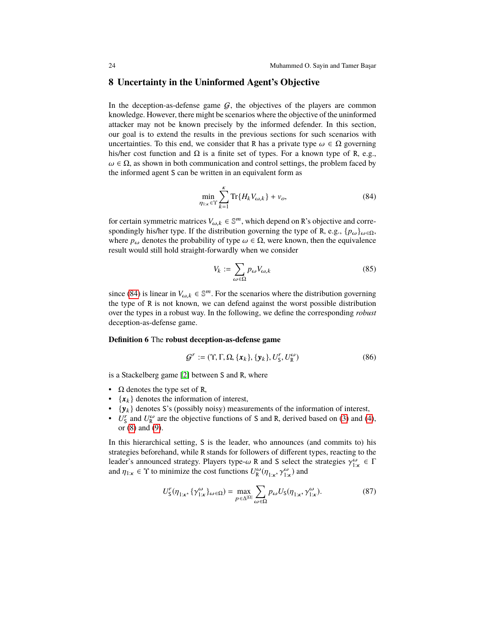## <span id="page-23-0"></span>**8 Uncertainty in the Uninformed Agent's Objective**

In the deception-as-defense game  $G$ , the objectives of the players are common knowledge. However, there might be scenarios where the objective of the uninformed attacker may not be known precisely by the informed defender. In this section, our goal is to extend the results in the previous sections for such scenarios with uncertainties. To this end, we consider that R has a private type  $\omega \in \Omega$  governing his/her cost function and  $\Omega$  is a finite set of types. For a known type of R, e.g.,  $\omega \in \Omega$ , as shown in both communication and control settings, the problem faced by the informed agent S can be written in an equivalent form as

<span id="page-23-1"></span>
$$
\min_{\eta_{1:k}\in\Upsilon}\sum_{k=1}^{\kappa}\text{Tr}\{H_kV_{\omega,k}\}+\nu_o,\tag{84}
$$

for certain symmetric matrices  $V_{\omega,k} \in \mathbb{S}^m$ , which depend on R's objective and corre-<br>coordingly higher time. If the distribution governing the time of R a.g. (p, ) spondingly his/her type. If the distribution governing the type of R, e.g.,  $\{p_{\omega}\}_{{\omega}\in\Omega}$ , where  $p_{\omega}$  denotes the probability of type  $\omega \in \Omega$ , were known, then the equivalence result would still hold straight-forwardly when we consider

$$
V_k := \sum_{\omega \in \Omega} p_{\omega} V_{\omega, k} \tag{85}
$$

since [\(84\)](#page-23-1) is linear in  $V_{\omega, k} \in \mathbb{S}^m$ . For the scenarios where the distribution governing the time of **P** is not known, we can defend excite the west possible distribution the type of R is not known, we can defend against the worst possible distribution over the types in a robust way. In the following, we define the corresponding *robust* deception-as-defense game.

#### **Definition 6** The **robust deception-as-defense game**

$$
\mathcal{G}^r := (\Upsilon, \Gamma, \Omega, \{\boldsymbol{x}_k\}, \{\boldsymbol{y}_k\}, U^r_{\mathbf{S}}, U^{\omega}_{\mathbf{R}})
$$
\n(86)

is a Stackelberg game [\[2\]](#page-28-0) between S and R, where

- $\Omega$  denotes the type set of R,
- $\{x_k\}$  denotes the information of interest,
- $\{y_k\}$  denotes S's (possibly noisy) measurements of the information of interest,
- $U_{\rm S}^r$  and  $U_{\rm R}^{\omega}$  are the objective functions of S and R, derived based on [\(3\)](#page-8-0) and [\(4\)](#page-8-1), or [\(8\)](#page-9-0) and [\(9\)](#page-9-1).

In this hierarchical setting, S is the leader, who announces (and commits to) his strategies beforehand, while R stands for followers of different types, reacting to the leader's announced strategy. Players type-ω R and S select the strategies  $\gamma_{1:\kappa}^{\omega} \in \Gamma$ <br>and  $n_{1:\kappa} \in \Upsilon$  to minimize the cost functions  $U_{\kappa}^{\omega}(n - \gamma^{\omega})$  and and  $\eta_{1:\kappa} \in \Upsilon$  to minimize the cost functions  $U_R^{\omega}(\eta_{1:\kappa}, \gamma_{1:\kappa}^{\omega})$  and

$$
U_{\mathsf{S}}^r(\eta_{1:\kappa}, \{\gamma_{1:\kappa}^\omega\}_{\omega \in \Omega}) = \max_{p \in \Delta^{|\Omega|}} \sum_{\omega \in \Omega} p_{\omega} U_{\mathsf{S}}(\eta_{1:\kappa}, \gamma_{1:\kappa}^\omega). \tag{87}
$$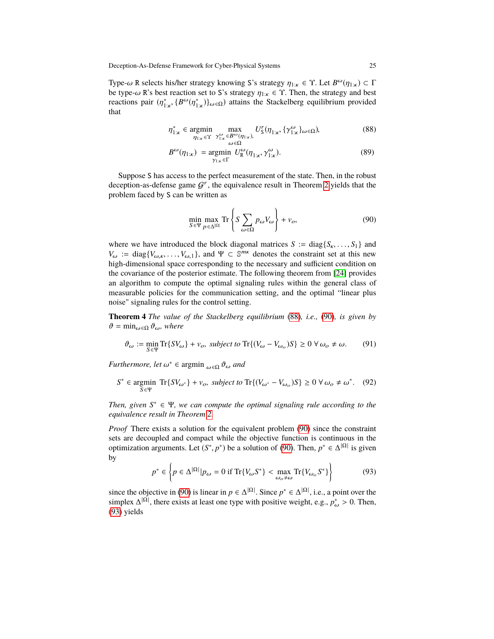Type-ω R selects his/her strategy knowing S's strategy  $\eta_{1:\kappa} \in \Upsilon$ . Let  $B^{\omega}(\eta_{1:\kappa}) \subset \Gamma$ <br>be type-ω R's best reaction set to S's strategy  $n_{\kappa} \in \Upsilon$ . Then, the strategy and best be type- $\omega$  R's best reaction set to S's strategy  $\eta_{1:\kappa} \in \Upsilon$ . Then, the strategy and best reactions pair  $(\eta_{1:\kappa}^*, \{B^{\omega}(\eta_{1:\kappa}^*)\}_{\omega \in \Omega})$  attains the Stackelberg equilibrium provided that that

<span id="page-24-0"></span>
$$
\eta_{1:\kappa}^* \in \underset{\eta_{1:\kappa} \in \Upsilon}{\text{argmin}} \max_{\substack{\gamma_{1:\kappa}^{\omega} \in B^{\omega}(\eta_{1:\kappa}), \\ \omega \in \Omega}} U_{\mathsf{S}}^r(\eta_{1:\kappa}, \{\gamma_{1:\kappa}^{\omega}\}_{\omega \in \Omega}), \tag{88}
$$

$$
B^{\omega}(\eta_{1:\kappa}) = \underset{\gamma_{1:\kappa} \in \Gamma}{\text{argmin}} U^{\omega}_{\mathsf{R}}(\eta_{1:\kappa}, \gamma^{\omega}_{1:\kappa}). \tag{89}
$$

Suppose S has access to the perfect measurement of the state. Then, in the robust deception-as-defense game  $G<sup>r</sup>$ , the equivalence result in Theorem [2](#page-16-4) yields that the problem faced by S can be written as

<span id="page-24-1"></span>
$$
\min_{S \in \Psi} \max_{p \in \Delta^{|\Omega|}} \text{Tr} \left\{ S \sum_{\omega \in \Omega} p_{\omega} V_{\omega} \right\} + v_o,
$$
\n(90)

where we have introduced the block diagonal matrices  $S := diag\{S_{k}, \ldots, S_{1}\}\$  and  $V_{\omega} := \text{diag}\{V_{\omega,\kappa}, \dots, V_{\omega,1}\}\$ , and  $\Psi \subset \mathbb{S}^{m\kappa}$  denotes the constraint set at this new high-dimensional space corresponding to the necessary and sufficient condition on the covariance of the posterior estimate. The following theorem from [\[24\]](#page-29-2) provides an algorithm to compute the optimal signaling rules within the general class of measurable policies for the communication setting, and the optimal "linear plus noise" signaling rules for the control setting.

**Theorem 4** *The value of the Stackelberg equilibrium* [\(88\)](#page-24-0)*, i.e.,* [\(90\)](#page-24-1)*, is given by*  $\vartheta = \min_{\omega \in \Omega} \vartheta_{\omega}$ , where

$$
\vartheta_{\omega} := \min_{S \in \Psi} \text{Tr}\{SV_{\omega}\} + v_o, \text{ subject to } \text{Tr}\{(V_{\omega} - V_{\omega_o})S\} \ge 0 \,\forall \,\omega_o \ne \omega. \tag{91}
$$

*Furthermore, let*  $\omega^* \in \text{argmin}_{\omega \in \Omega} \vartheta_{\omega}$  *and* 

$$
S^* \in \underset{S \in \Psi}{\text{argmin}} \ \mathrm{Tr}\{SV_{\omega^*}\} + \nu_o, \ subject \ to \ \mathrm{Tr}\{(V_{\omega^*} - V_{\omega_o})S\} \ge 0 \ \forall \ \omega_o \neq \omega^*. \tag{92}
$$

*Then, given*  $S^* \in \Psi$ *, we can compute the optimal signaling rule according to the equivalence result in Theorem [2.](#page-16-4)*

*Proof* There exists a solution for the equivalent problem [\(90\)](#page-24-1) since the constraint sets are decoupled and compact while the objective function is continuous in the optimization arguments. Let  $(S^*, p^*)$  be a solution of [\(90\)](#page-24-1). Then,  $p^* \in \Delta^{|\Omega|}$  is given by by

<span id="page-24-2"></span>
$$
p^* \in \left\{ p \in \Delta^{|\Omega|} | p_\omega = 0 \text{ if } \text{Tr}\{V_\omega S^*\} < \max_{\omega_o \neq \omega} \text{Tr}\{V_{\omega_o} S^*\} \right\} \tag{93}
$$

since the objective in [\(90\)](#page-24-1) is linear in  $p \in \Delta^{|\Omega|}$ . Since  $p^* \in \Delta^{|\Omega|}$ , i.e., a point over the simplex  $\Delta^{|\Omega|}$ , there exists at least one type with positive weight, e.g.,  $p^*_{\omega} > 0$ . Then, (93) yields [\(93\)](#page-24-2) yields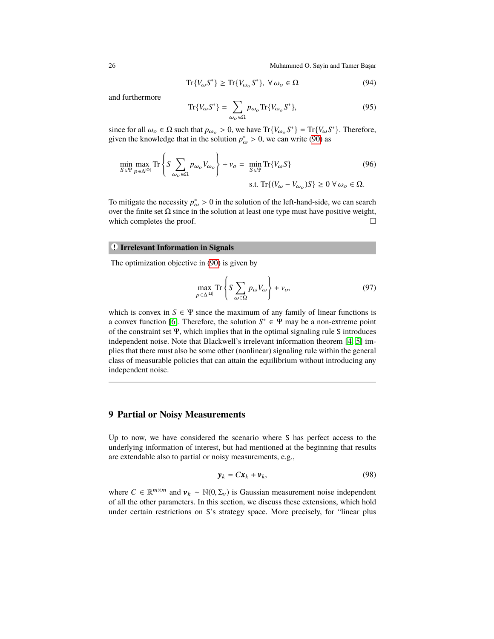$$
\operatorname{Tr}\{V_{\omega}S^*\} \ge \operatorname{Tr}\{V_{\omega_o}S^*\}, \ \forall \,\omega_o \in \Omega\tag{94}
$$

and furthermore

$$
\operatorname{Tr}\{V_{\omega}S^*\} = \sum_{\omega_o \in \Omega} p_{\omega_o} \operatorname{Tr}\{V_{\omega_o}S^*\},\tag{95}
$$

since for all  $\omega_o \in \Omega$  such that  $p_{\omega_o} > 0$ , we have  $Tr{V_{\omega_o}S^*} = Tr{V_{\omega_o}S^*}$ . Therefore, given the knowledge that in the solution  $n^* > 0$ , we can write (90) as given the knowledge that in the solution  $p^*_{\omega} > 0$ , we can write [\(90\)](#page-24-1) as

$$
\min_{S \in \Psi} \max_{p \in \Delta^{|\Omega|}} \text{Tr} \left\{ S \sum_{\omega_o \in \Omega} p_{\omega_o} V_{\omega_o} \right\} + v_o = \min_{S \in \Psi} \text{Tr} \{ V_{\omega} S \} \tag{96}
$$
\n
$$
\text{s.t. } \text{Tr} \{ (V_{\omega} - V_{\omega_o}) S \} \ge 0 \ \forall \ \omega_o \in \Omega.
$$

To mitigate the necessity  $p_{\omega}^* > 0$  in the solution of the left-hand-side, we can search over the finite set O since in the solution at least one type must have positive weight over the finite set  $\Omega$  since in the solution at least one type must have positive weight, which completes the proof.  $\Box$ 

## **• ! Irrelevant Information in Signals**

The optimization objective in [\(90\)](#page-24-1) is given by

$$
\max_{p \in \Delta^{\[\Omega\]}} \text{Tr} \left\{ S \sum_{\omega \in \Omega} p_{\omega} V_{\omega} \right\} + v_o,
$$
\n(97)

which is convex in  $S \in \Psi$  since the maximum of any family of linear functions is a convex function [\[6\]](#page-28-3). Therefore, the solution  $S^* \in \Psi$  may be a non-extreme point of the constraint set Ψ, which implies that in the optimal signaling rule S introduces independent noise. Note that Blackwell's irrelevant information theorem [\[4,](#page-28-4) [5\]](#page-28-5) implies that there must also be some other (nonlinear) signaling rule within the general class of measurable policies that can attain the equilibrium without introducing any independent noise.

## <span id="page-25-0"></span>**9 Partial or Noisy Measurements**

Up to now, we have considered the scenario where S has perfect access to the underlying information of interest, but had mentioned at the beginning that results are extendable also to partial or noisy measurements, e.g.,

$$
\mathbf{y}_k = C \mathbf{x}_k + \mathbf{v}_k, \tag{98}
$$

where  $C \in \mathbb{R}^{m \times m}$  and  $v_k \sim \mathbb{N}(0, \Sigma_v)$  is Gaussian measurement noise independent of all the other parameters. In this section, we discuss these extensions, which hold of all the other parameters. In this section, we discuss these extensions, which hold under certain restrictions on S's strategy space. More precisely, for "linear plus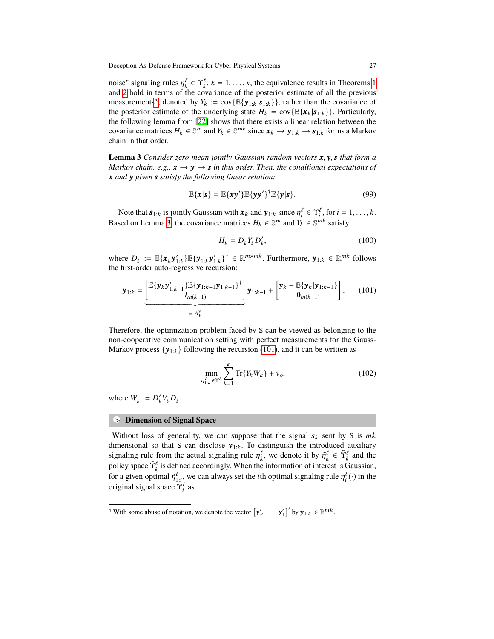noise" signaling rules  $\eta_k^{\ell} \in \Upsilon_k^{\ell}$ ,  $k = 1, ..., \kappa$  $k = 1, ..., \kappa$  $k = 1, ..., \kappa$ , the equivalence results in Theorems 1 and 2 hold in terms of the covariance of the posterior estimate of all the previous and [2](#page-16-4) hold in terms of the covariance of the posterior estimate of all the previous measurements<sup>[3](#page-26-0)</sup>, denoted by  $Y_k := \text{cov}\{\mathbb{E}\{\mathbf{y}_{1:k}|\mathbf{s}_{1:k}\}\}\$ , rather than the covariance of the posterior estimate of the underlying state  $H_k = \text{cov}\{\mathbb{E}\{\mathbf{x}_k | \mathbf{s}_{1:k}\}\}\.$  Particularly, the following lemma from [\[22\]](#page-29-18) shows that there exists a linear relation between the covariance matrices  $H_k \in \mathbb{S}^m$  and  $Y_k \in \mathbb{S}^{mk}$  since  $\mathbf{x}_k \to \mathbf{y}_{1:k} \to \mathbf{s}_{1:k}$  forms a Markov chain in that order.

<span id="page-26-1"></span>**Lemma 3** *Consider zero-mean jointly Gaussian random vectors <sup>x</sup>*, <sup>y</sup>,*<sup>s</sup> that form a Markov chain, e.g.,*  $\mathbf{x} \rightarrow \mathbf{y} \rightarrow \mathbf{s}$  *in this order. Then, the conditional expectations of x and* y *given s satisfy the following linear relation:*

$$
\mathbb{E}\{x|s\} = \mathbb{E}\{xy'\}\mathbb{E}\{yy'\}^{\dagger}\mathbb{E}\{y|s\}.
$$
 (99)

Note that  $\mathbf{s}_{1:k}$  is jointly Gaussian with  $\mathbf{x}_k$  and  $\mathbf{y}_{1:k}$  since  $\eta_i^{\ell} \in \Upsilon_i^{\ell}$ , for  $i = 1, ..., k$ . Based on Lemma [3,](#page-26-1) the covariance matrices  $H_k \in \mathbb{S}^m$  and  $Y_k \in \mathbb{S}^{mk}$  satisfy

$$
H_k = D_k Y_k D'_k, \tag{100}
$$

where  $D_k := \mathbb{E}\{\mathbf{x}_k \mathbf{y}_{1:k}^{\prime}\} \mathbb{E}\{\mathbf{y}_{1:k} \}^{\dagger} \in \mathbb{R}^{m \times mk}$ . Furthermore,  $\mathbf{y}_{1:k} \in \mathbb{R}^{mk}$  follows the first-order auto-regressive recursion:

<span id="page-26-2"></span>
$$
\mathbf{y}_{1:k} = \underbrace{\left[\mathbb{E}\{\mathbf{y}_k\mathbf{y}'_{1:k-1}\}\mathbb{E}\{\mathbf{y}_{1:k-1}\mathbf{y}_{1:k-1}\}\right]}_{=:A_k^{\mathbf{y}}} \mathbf{y}_{1:k-1} + \left[\mathbf{y}_k - \mathbb{E}\{\mathbf{y}_k|\mathbf{y}_{1:k-1}\}\right].
$$
 (101)

Therefore, the optimization problem faced by S can be viewed as belonging to the non-cooperative communication setting with perfect measurements for the Gauss-Markov process  $\{y_{1:k}\}\$  following the recursion [\(101\)](#page-26-2), and it can be written as

$$
\min_{\eta_{1:\kappa}^{\ell} \in \Upsilon^{\ell}} \sum_{k=1}^{K} \text{Tr}\{Y_k W_k\} + v_o,
$$
\n(102)

where  $W_k := D'_k V_k D_k$ .

# **•** > **Dimension of Signal Space**

Without loss of generality, we can suppose that the signal  $s_k$  sent by S is  $mk$ dimensional so that S can disclose  $y_{1:k}$ . To distinguish the introduced auxiliary signaling rule from the actual signaling rule  $\eta_k^{\ell}$ , we denote it by  $\tilde{\eta}_k^{\ell} \in \tilde{\Upsilon}_k^{\ell}$  and the notice is considered. policy space  $\tilde{\Upsilon}_k^{\ell}$  is defined accordingly. When the information of interest is Gaussian, for a given optimal  $\tilde{\eta}_{1:i}^{\ell}$ , we can always set the *i*th optimal signaling rule  $\eta_i^{\ell}(\cdot)$  in the original signal grass  $\tilde{\chi}^{\ell}$  as original signal space  $\Upsilon_i^{\ell}$  as

<span id="page-26-0"></span><sup>&</sup>lt;sup>3</sup> With some abuse of notation, we denote the vector  $\left[\mathbf{y}'_{k} \cdots \mathbf{y}'_{1}\right]'$  by  $\mathbf{y}_{1:k} \in \mathbb{R}^{mk}$ .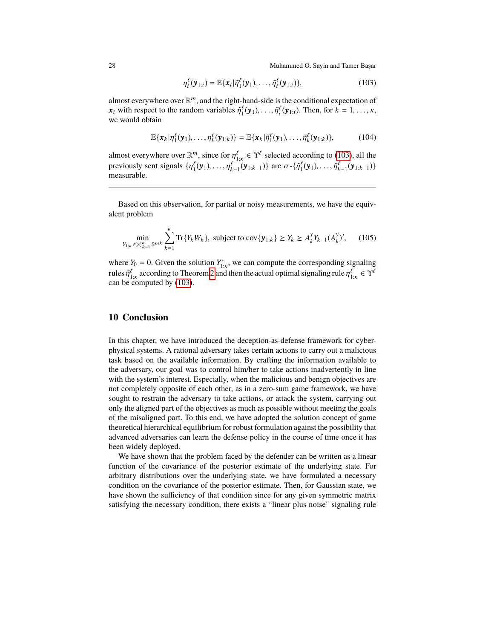<span id="page-27-1"></span>
$$
\eta_i^{\ell}(\mathbf{y}_{1:i}) = \mathbb{E}\{\mathbf{x}_i|\tilde{\eta}_1^{\ell}(\mathbf{y}_1),\ldots,\tilde{\eta}_i^{\ell}(\mathbf{y}_{1:i})\},\tag{103}
$$

almost everywhere over  $\mathbb{R}^m$ , and the right-hand-side is the conditional expectation of  $\mathbf{x}_i$  with respect to the random variables  $\tilde{\eta}_1^{\ell}(\mathbf{y}_1), \ldots, \tilde{\eta}_i^{\ell}(\mathbf{y}_{1:i})$ . Then, for  $k = 1, \ldots, \kappa$ , we would obtain we would obtain

$$
\mathbb{E}\{\boldsymbol{x}_k|\eta_1^{\ell}(\mathbf{y}_1),\ldots,\eta_k^{\ell}(\mathbf{y}_{1:k})\} = \mathbb{E}\{\boldsymbol{x}_k|\tilde{\eta}_1^{\ell}(\mathbf{y}_1),\ldots,\tilde{\eta}_k^{\ell}(\mathbf{y}_{1:k})\},\tag{104}
$$

almost everywhere over  $\mathbb{R}^m$ , since for  $\eta_{1,\kappa}^\ell \in \Upsilon^\ell$  selected according to [\(103\)](#page-27-1), all the<br>previously sent signals  $\{p_\ell^\ell(\mathbf{v}_k), \dots, p_\ell^\ell(\mathbf{v}_{k+1})\}$  are  $\mathcal{F}^{\{g_\ell^\ell(\mathbf{v}_k), \dots, g_\ell^\ell(\mathbf{v}_{k+1})\}}$ previously sent signals  $\{\eta_1^{\ell}(\mathbf{y}_1),..., \eta_{k-1}^{\ell}(\mathbf{y}_{1:k-1})\}$  are  $\sigma$ - $\{\tilde{\eta}_1^{\ell}(\mathbf{y}_1),..., \tilde{\eta}_{k-1}^{\ell}(\mathbf{y}_{1:k-1})\}$ <br>measurable measurable.

Based on this observation, for partial or noisy measurements, we have the equivalent problem

$$
\min_{Y_{1:k} \in X_{k=1}^K \mathbb{S}^{mk}} \sum_{k=1}^K \text{Tr}\{Y_k W_k\}, \text{ subject to } \text{cov}\{\mathbf{y}_{1:k}\} \ge Y_k \ge A_k^y Y_{k-1}(A_k^y)', \tag{105}
$$

where  $Y_0 = 0$ . Given the solution  $Y_{1:k}^*$ , we can compute the corresponding signaling rules  $\tilde{\eta}_{1:k}^{\ell}$  according to Theorem [2](#page-16-4) and then the actual optimal signaling rule  $\eta_{1:k}^{\ell} \in \Upsilon^{\ell}$ <br>can be computed by (103) can be computed by  $(103)$ .

## <span id="page-27-0"></span>**10 Conclusion**

In this chapter, we have introduced the deception-as-defense framework for cyberphysical systems. A rational adversary takes certain actions to carry out a malicious task based on the available information. By crafting the information available to the adversary, our goal was to control him/her to take actions inadvertently in line with the system's interest. Especially, when the malicious and benign objectives are not completely opposite of each other, as in a zero-sum game framework, we have sought to restrain the adversary to take actions, or attack the system, carrying out only the aligned part of the objectives as much as possible without meeting the goals of the misaligned part. To this end, we have adopted the solution concept of game theoretical hierarchical equilibrium for robust formulation against the possibility that advanced adversaries can learn the defense policy in the course of time once it has been widely deployed.

We have shown that the problem faced by the defender can be written as a linear function of the covariance of the posterior estimate of the underlying state. For arbitrary distributions over the underlying state, we have formulated a necessary condition on the covariance of the posterior estimate. Then, for Gaussian state, we have shown the sufficiency of that condition since for any given symmetric matrix satisfying the necessary condition, there exists a "linear plus noise" signaling rule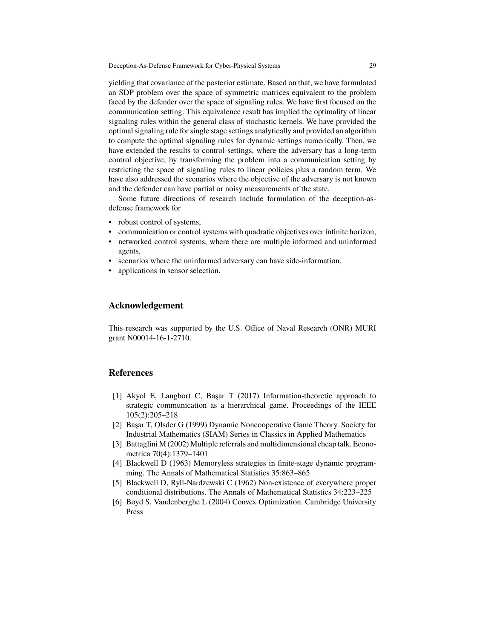yielding that covariance of the posterior estimate. Based on that, we have formulated an SDP problem over the space of symmetric matrices equivalent to the problem faced by the defender over the space of signaling rules. We have first focused on the communication setting. This equivalence result has implied the optimality of linear signaling rules within the general class of stochastic kernels. We have provided the optimal signaling rule for single stage settings analytically and provided an algorithm to compute the optimal signaling rules for dynamic settings numerically. Then, we have extended the results to control settings, where the adversary has a long-term control objective, by transforming the problem into a communication setting by restricting the space of signaling rules to linear policies plus a random term. We have also addressed the scenarios where the objective of the adversary is not known and the defender can have partial or noisy measurements of the state.

Some future directions of research include formulation of the deception-asdefense framework for

- robust control of systems,
- communication or control systems with quadratic objectives over infinite horizon,
- networked control systems, where there are multiple informed and uninformed agents,
- scenarios where the uninformed adversary can have side-information,
- applications in sensor selection.

## **Acknowledgement**

This research was supported by the U.S. Office of Naval Research (ONR) MURI grant N00014-16-1-2710.

## **References**

- <span id="page-28-2"></span>[1] Akyol E, Langbort C, Başar T (2017) Information-theoretic approach to strategic communication as a hierarchical game. Proceedings of the IEEE 105(2):205–218
- <span id="page-28-0"></span>[2] Başar T, Olsder G (1999) Dynamic Noncooperative Game Theory. Society for Industrial Mathematics (SIAM) Series in Classics in Applied Mathematics
- <span id="page-28-1"></span>[3] Battaglini M (2002) Multiple referrals and multidimensional cheap talk. Econometrica 70(4):1379–1401
- <span id="page-28-4"></span>[4] Blackwell D (1963) Memoryless strategies in finite-stage dynamic programming. The Annals of Mathematical Statistics 35:863–865
- <span id="page-28-5"></span>[5] Blackwell D, Ryll-Nardzewski C (1962) Non-existence of everywhere proper conditional distributions. The Annals of Mathematical Statistics 34:223–225
- <span id="page-28-3"></span>[6] Boyd S, Vandenberghe L (2004) Convex Optimization. Cambridge University Press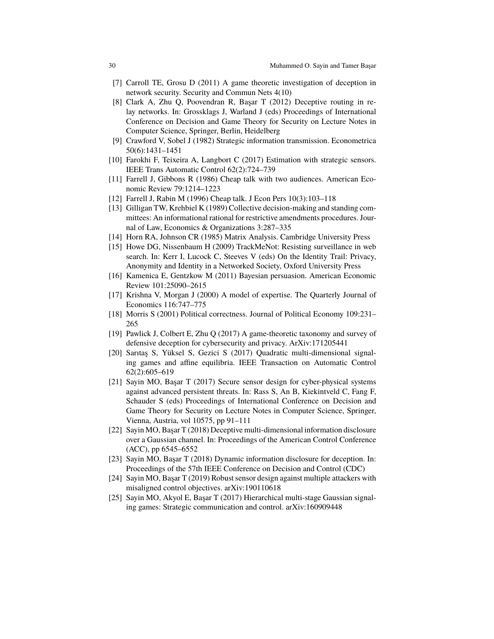- <span id="page-29-13"></span>[7] Carroll TE, Grosu D (2011) A game theoretic investigation of deception in network security. Security and Commun Nets 4(10)
- <span id="page-29-12"></span>[8] Clark A, Zhu Q, Poovendran R, Başar T (2012) Deceptive routing in relay networks. In: Grossklags J, Warland J (eds) Proceedings of International Conference on Decision and Game Theory for Security on Lecture Notes in Computer Science, Springer, Berlin, Heidelberg
- <span id="page-29-3"></span>[9] Crawford V, Sobel J (1982) Strategic information transmission. Econometrica 50(6):1431–1451
- <span id="page-29-15"></span>[10] Farokhi F, Teixeira A, Langbort C (2017) Estimation with strategic sensors. IEEE Trans Automatic Control 62(2):724–739
- <span id="page-29-4"></span>[11] Farrell J, Gibbons R (1986) Cheap talk with two audiences. American Economic Review 79:1214–1223
- <span id="page-29-5"></span>[12] Farrell J, Rabin M (1996) Cheap talk. J Econ Pers 10(3):103–118
- <span id="page-29-6"></span>[13] Gilligan TW, Krehbiel K (1989) Collective decision-making and standing committees: An informational rational for restrictive amendments procedures. Journal of Law, Economics & Organizations 3:287–335
- <span id="page-29-17"></span>[14] Horn RA, Johnson CR (1985) Matrix Analysis. Cambridge University Press
- <span id="page-29-11"></span>[15] Howe DG, Nissenbaum H (2009) TrackMeNot: Resisting surveillance in web search. In: Kerr I, Lucock C, Steeves V (eds) On the Identity Trail: Privacy, Anonymity and Identity in a Networked Society, Oxford University Press
- <span id="page-29-9"></span>[16] Kamenica E, Gentzkow M (2011) Bayesian persuasion. American Economic Review 101:25090–2615
- <span id="page-29-7"></span>[17] Krishna V, Morgan J (2000) A model of expertise. The Quarterly Journal of Economics 116:747–775
- <span id="page-29-8"></span>[18] Morris S (2001) Political correctness. Journal of Political Economy 109:231– 265
- <span id="page-29-10"></span>[19] Pawlick J, Colbert E, Zhu Q (2017) A game-theoretic taxonomy and survey of defensive deception for cybersecurity and privacy. ArXiv:171205441
- <span id="page-29-14"></span>[20] Sarıtaş S, Yüksel S, Gezici S (2017) Quadratic multi-dimensional signaling games and affine equilibria. IEEE Transaction on Automatic Control 62(2):605–619
- <span id="page-29-1"></span>[21] Sayin MO, Başar T (2017) Secure sensor design for cyber-physical systems against advanced persistent threats. In: Rass S, An B, Kiekintveld C, Fang F, Schauder S (eds) Proceedings of International Conference on Decision and Game Theory for Security on Lecture Notes in Computer Science, Springer, Vienna, Austria, vol 10575, pp 91–111
- <span id="page-29-18"></span>[22] Sayin MO, Başar T (2018) Deceptive multi-dimensional information disclosure over a Gaussian channel. In: Proceedings of the American Control Conference (ACC), pp 6545–6552
- <span id="page-29-16"></span>[23] Sayin MO, Başar T (2018) Dynamic information disclosure for deception. In: Proceedings of the 57th IEEE Conference on Decision and Control (CDC)
- <span id="page-29-2"></span>[24] Sayin MO, Başar T (2019) Robust sensor design against multiple attackers with misaligned control objectives. arXiv:190110618
- <span id="page-29-0"></span>[25] Sayin MO, Akyol E, Başar T (2017) Hierarchical multi-stage Gaussian signaling games: Strategic communication and control. arXiv:160909448